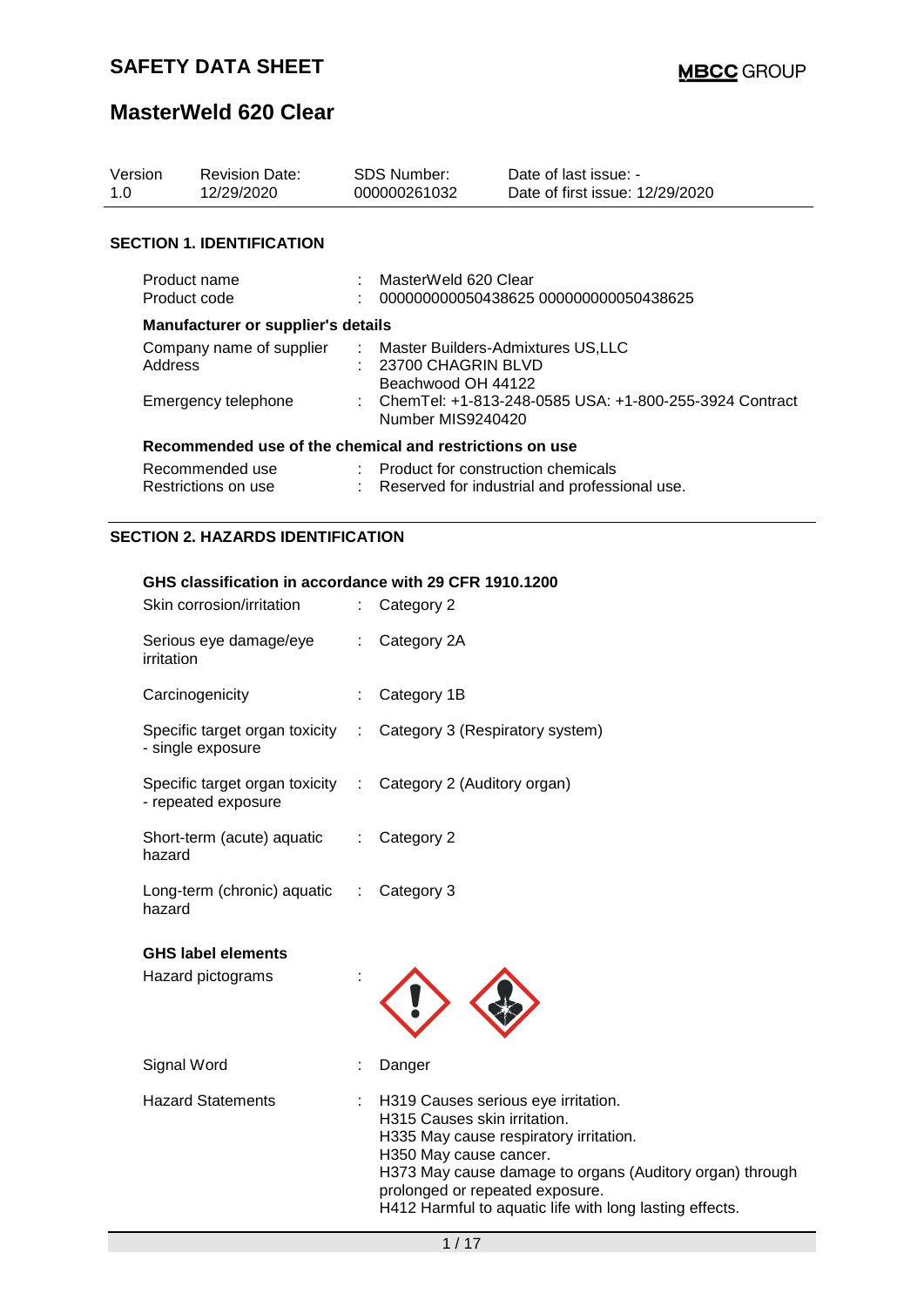| Version<br>1.0                      | <b>Revision Date:</b><br>12/29/2020       |  | <b>SDS Number:</b><br>000000261032                                                  | Date of last issue: -<br>Date of first issue: 12/29/2020 |  |  |  |  |
|-------------------------------------|-------------------------------------------|--|-------------------------------------------------------------------------------------|----------------------------------------------------------|--|--|--|--|
|                                     | <b>SECTION 1. IDENTIFICATION</b>          |  |                                                                                     |                                                          |  |  |  |  |
| Product name<br>Product code        |                                           |  | : MasterWeld 620 Clear<br>000000000050438625 000000000050438625                     |                                                          |  |  |  |  |
|                                     | <b>Manufacturer or supplier's details</b> |  |                                                                                     |                                                          |  |  |  |  |
| Company name of supplier<br>Address |                                           |  | : Master Builders-Admixtures US,LLC<br>$: 23700$ CHAGRIN BLVD<br>Beachwood OH 44122 |                                                          |  |  |  |  |
| Emergency telephone                 |                                           |  | ChemTel: +1-813-248-0585 USA: +1-800-255-3924 Contract<br>Number MIS9240420         |                                                          |  |  |  |  |
|                                     |                                           |  | Recommended use of the chemical and restrictions on use                             |                                                          |  |  |  |  |
|                                     | Recommended use<br>Restrictions on use    |  | : Product for construction chemicals                                                | Reserved for industrial and professional use.            |  |  |  |  |
|                                     | <b>SECTION 2. HAZARDS IDENTIFICATION</b>  |  |                                                                                     |                                                          |  |  |  |  |

#### **GHS classification in accordance with 29 CFR 1910.1200**

| Skin corrosion/irritation                             |                               | Category 2                                                                                                                                                                                                                                                                                        |
|-------------------------------------------------------|-------------------------------|---------------------------------------------------------------------------------------------------------------------------------------------------------------------------------------------------------------------------------------------------------------------------------------------------|
| Serious eye damage/eye<br>irritation                  |                               | Category 2A                                                                                                                                                                                                                                                                                       |
| Carcinogenicity                                       |                               | Category 1B                                                                                                                                                                                                                                                                                       |
| Specific target organ toxicity<br>- single exposure   | ÷.                            | Category 3 (Respiratory system)                                                                                                                                                                                                                                                                   |
| Specific target organ toxicity<br>- repeated exposure | ÷                             | Category 2 (Auditory organ)                                                                                                                                                                                                                                                                       |
| Short-term (acute) aquatic<br>hazard                  | ÷                             | Category 2                                                                                                                                                                                                                                                                                        |
| Long-term (chronic) aquatic<br>hazard                 | $\mathcal{L}^{\mathcal{L}}$ . | Category 3                                                                                                                                                                                                                                                                                        |
| <b>GHS label elements</b>                             |                               |                                                                                                                                                                                                                                                                                                   |
| Hazard pictograms                                     |                               |                                                                                                                                                                                                                                                                                                   |
| Signal Word                                           |                               | Danger                                                                                                                                                                                                                                                                                            |
| <b>Hazard Statements</b>                              |                               | H319 Causes serious eye irritation.<br>H315 Causes skin irritation.<br>H335 May cause respiratory irritation.<br>H350 May cause cancer.<br>H373 May cause damage to organs (Auditory organ) through<br>prolonged or repeated exposure.<br>H412 Harmful to aquatic life with long lasting effects. |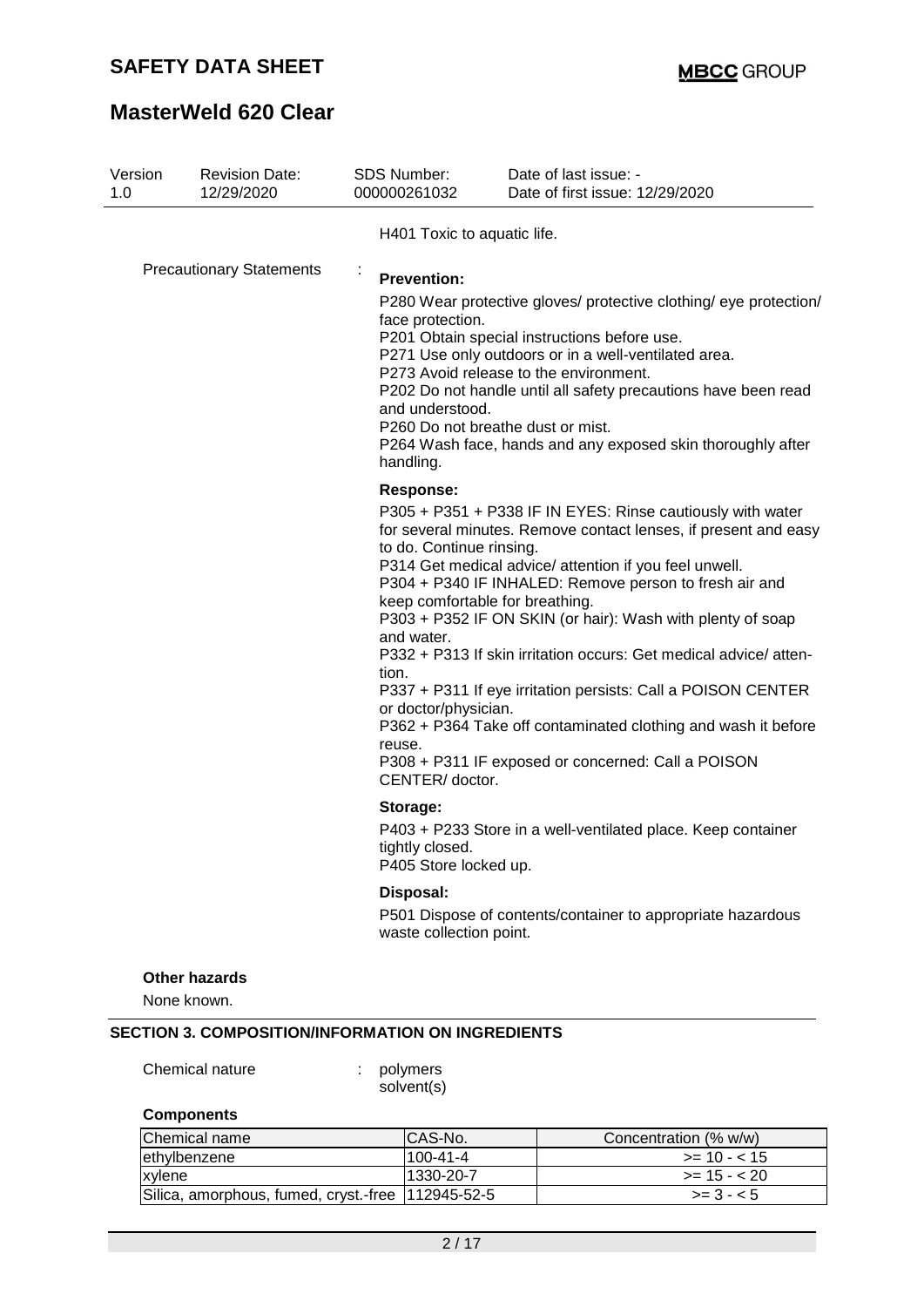## **SAFETY DATA SHEET**

## **MasterWeld 620 Clear**

| Version<br>1.0                  | <b>Revision Date:</b><br>12/29/2020 | <b>SDS Number:</b><br>000000261032                                                                                       | Date of last issue: -<br>Date of first issue: 12/29/2020                                                                                                                                                                                                                                                                                                                                                                                                                                                                                                                                                      |
|---------------------------------|-------------------------------------|--------------------------------------------------------------------------------------------------------------------------|---------------------------------------------------------------------------------------------------------------------------------------------------------------------------------------------------------------------------------------------------------------------------------------------------------------------------------------------------------------------------------------------------------------------------------------------------------------------------------------------------------------------------------------------------------------------------------------------------------------|
|                                 |                                     | H401 Toxic to aquatic life.                                                                                              |                                                                                                                                                                                                                                                                                                                                                                                                                                                                                                                                                                                                               |
| <b>Precautionary Statements</b> |                                     | ÷<br><b>Prevention:</b><br>face protection.<br>and understood.<br>handling.                                              | P280 Wear protective gloves/ protective clothing/ eye protection/<br>P201 Obtain special instructions before use.<br>P271 Use only outdoors or in a well-ventilated area.<br>P273 Avoid release to the environment.<br>P202 Do not handle until all safety precautions have been read<br>P260 Do not breathe dust or mist.<br>P264 Wash face, hands and any exposed skin thoroughly after                                                                                                                                                                                                                     |
|                                 |                                     | <b>Response:</b><br>to do. Continue rinsing.<br>and water.<br>tion.<br>or doctor/physician.<br>reuse.<br>CENTER/ doctor. | P305 + P351 + P338 IF IN EYES: Rinse cautiously with water<br>for several minutes. Remove contact lenses, if present and easy<br>P314 Get medical advice/ attention if you feel unwell.<br>P304 + P340 IF INHALED: Remove person to fresh air and<br>keep comfortable for breathing.<br>P303 + P352 IF ON SKIN (or hair): Wash with plenty of soap<br>P332 + P313 If skin irritation occurs: Get medical advice/atten-<br>P337 + P311 If eye irritation persists: Call a POISON CENTER<br>P362 + P364 Take off contaminated clothing and wash it before<br>P308 + P311 IF exposed or concerned: Call a POISON |
|                                 |                                     | Storage:<br>tightly closed.<br>P405 Store locked up.                                                                     | P403 + P233 Store in a well-ventilated place. Keep container                                                                                                                                                                                                                                                                                                                                                                                                                                                                                                                                                  |
|                                 |                                     | Disposal:<br>waste collection point.                                                                                     | P501 Dispose of contents/container to appropriate hazardous                                                                                                                                                                                                                                                                                                                                                                                                                                                                                                                                                   |
|                                 | <b>Other hazards</b><br>None known. |                                                                                                                          |                                                                                                                                                                                                                                                                                                                                                                                                                                                                                                                                                                                                               |

solvent(s)

### **Components**

| Chemical name                                      | ICAS-No.        | Concentration (% w/w) |
|----------------------------------------------------|-----------------|-----------------------|
| lethylbenzene                                      | $1100 - 41 - 4$ | $>= 10 - 15$          |
| xylene                                             | 1330-20-7       | $>= 15 - < 20$        |
| Silica, amorphous, fumed, cryst.-free  112945-52-5 |                 | $>= 3 - 5$            |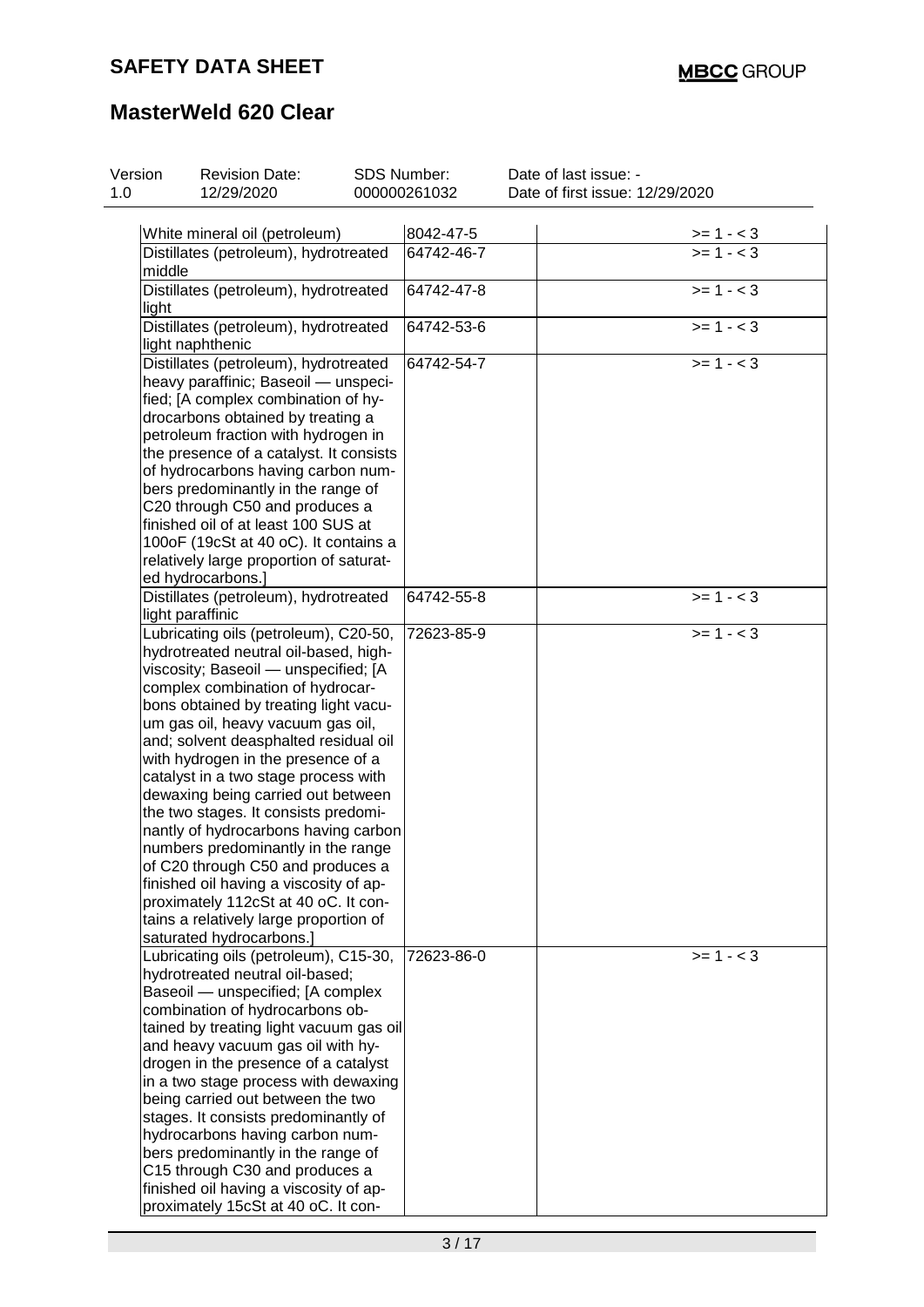| Version | <b>Revision Date:</b>                                                        | SDS Number:  | Date of last issue: -           |  |
|---------|------------------------------------------------------------------------------|--------------|---------------------------------|--|
|         | 12/29/2020                                                                   | 000000261032 | Date of first issue: 12/29/2020 |  |
|         |                                                                              |              |                                 |  |
|         | White mineral oil (petroleum)                                                | 8042-47-5    | $>= 1 - 3$                      |  |
|         | Distillates (petroleum), hydrotreated                                        | 64742-46-7   | $>= 1 - < 3$                    |  |
| middle  |                                                                              |              |                                 |  |
|         | Distillates (petroleum), hydrotreated                                        | 64742-47-8   | $>= 1 - 3$                      |  |
| light   |                                                                              |              |                                 |  |
|         | Distillates (petroleum), hydrotreated                                        | 64742-53-6   | $>= 1 - 3$                      |  |
|         | light naphthenic                                                             |              |                                 |  |
|         | Distillates (petroleum), hydrotreated                                        | 64742-54-7   | $>= 1 - 3$                      |  |
|         | heavy paraffinic; Baseoil - unspeci-                                         |              |                                 |  |
|         | fied; [A complex combination of hy-<br>drocarbons obtained by treating a     |              |                                 |  |
|         | petroleum fraction with hydrogen in                                          |              |                                 |  |
|         | the presence of a catalyst. It consists                                      |              |                                 |  |
|         | of hydrocarbons having carbon num-                                           |              |                                 |  |
|         | bers predominantly in the range of                                           |              |                                 |  |
|         | C20 through C50 and produces a                                               |              |                                 |  |
|         | finished oil of at least 100 SUS at                                          |              |                                 |  |
|         | 100oF (19cSt at 40 oC). It contains a                                        |              |                                 |  |
|         | relatively large proportion of saturat-                                      |              |                                 |  |
|         | ed hydrocarbons.]                                                            |              |                                 |  |
|         | Distillates (petroleum), hydrotreated                                        | 64742-55-8   | $>= 1 - < 3$                    |  |
|         | light paraffinic                                                             |              |                                 |  |
|         | Lubricating oils (petroleum), C20-50,                                        | 72623-85-9   | $>= 1 - 3$                      |  |
|         | hydrotreated neutral oil-based, high-                                        |              |                                 |  |
|         | viscosity; Baseoil - unspecified; [A                                         |              |                                 |  |
|         | complex combination of hydrocar-                                             |              |                                 |  |
|         | bons obtained by treating light vacu-                                        |              |                                 |  |
|         | um gas oil, heavy vacuum gas oil,                                            |              |                                 |  |
|         | and; solvent deasphalted residual oil<br>with hydrogen in the presence of a  |              |                                 |  |
|         | catalyst in a two stage process with                                         |              |                                 |  |
|         | dewaxing being carried out between                                           |              |                                 |  |
|         | the two stages. It consists predomi-                                         |              |                                 |  |
|         | nantly of hydrocarbons having carbon                                         |              |                                 |  |
|         | numbers predominantly in the range                                           |              |                                 |  |
|         | of C20 through C50 and produces a                                            |              |                                 |  |
|         | finished oil having a viscosity of ap-                                       |              |                                 |  |
|         | proximately 112cSt at 40 oC. It con-                                         |              |                                 |  |
|         | tains a relatively large proportion of                                       |              |                                 |  |
|         | saturated hydrocarbons.]                                                     |              |                                 |  |
|         | Lubricating oils (petroleum), C15-30,                                        | 72623-86-0   | $>= 1 - 3$                      |  |
|         | hydrotreated neutral oil-based;                                              |              |                                 |  |
|         | Baseoil - unspecified; [A complex                                            |              |                                 |  |
|         | combination of hydrocarbons ob-                                              |              |                                 |  |
|         | tained by treating light vacuum gas oil<br>and heavy vacuum gas oil with hy- |              |                                 |  |
|         | drogen in the presence of a catalyst                                         |              |                                 |  |
|         | in a two stage process with dewaxing                                         |              |                                 |  |
|         | being carried out between the two                                            |              |                                 |  |
|         | stages. It consists predominantly of                                         |              |                                 |  |
|         | hydrocarbons having carbon num-                                              |              |                                 |  |
|         | bers predominantly in the range of                                           |              |                                 |  |
|         | C15 through C30 and produces a                                               |              |                                 |  |
|         | finished oil having a viscosity of ap-                                       |              |                                 |  |
|         | proximately 15cSt at 40 oC. It con-                                          |              |                                 |  |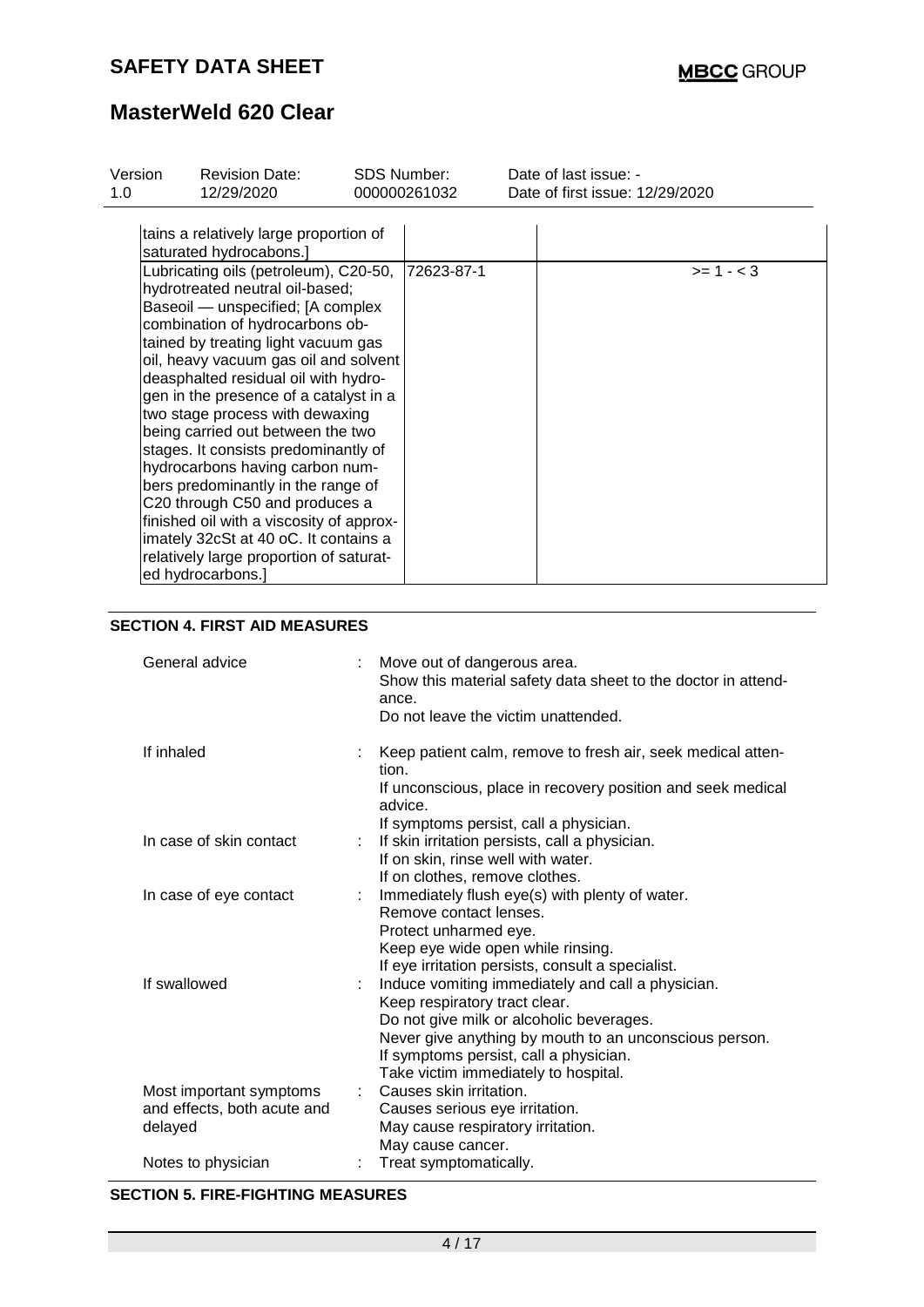| Version<br>1.0 | <b>Revision Date:</b><br><b>SDS Number:</b><br>12/29/2020                                                                                                                                                                                                                                                                                                                                                                                                                                                                                                                                                                                                                                                                                                               |  | 000000261032 | Date of last issue: -<br>Date of first issue: 12/29/2020 |
|----------------|-------------------------------------------------------------------------------------------------------------------------------------------------------------------------------------------------------------------------------------------------------------------------------------------------------------------------------------------------------------------------------------------------------------------------------------------------------------------------------------------------------------------------------------------------------------------------------------------------------------------------------------------------------------------------------------------------------------------------------------------------------------------------|--|--------------|----------------------------------------------------------|
|                | tains a relatively large proportion of<br>saturated hydrocabons.]<br>Lubricating oils (petroleum), C20-50,<br>hydrotreated neutral oil-based;<br>Baseoil — unspecified; [A complex<br>combination of hydrocarbons ob-<br>tained by treating light vacuum gas<br>oil, heavy vacuum gas oil and solvent<br>deasphalted residual oil with hydro-<br>gen in the presence of a catalyst in a<br>two stage process with dewaxing<br>being carried out between the two<br>stages. It consists predominantly of<br>hydrocarbons having carbon num-<br>bers predominantly in the range of<br>C20 through C50 and produces a<br>finished oil with a viscosity of approx-<br>imately 32cSt at 40 oC. It contains a<br>relatively large proportion of saturat-<br>ed hydrocarbons.] |  | 72623-87-1   | $>= 1 - 3$                                               |

### **SECTION 4. FIRST AID MEASURES**

| General advice                                                    | Move out of dangerous area.<br>Show this material safety data sheet to the doctor in attend-<br>ance.<br>Do not leave the victim unattended.                                                                                                                               |
|-------------------------------------------------------------------|----------------------------------------------------------------------------------------------------------------------------------------------------------------------------------------------------------------------------------------------------------------------------|
| If inhaled                                                        | Keep patient calm, remove to fresh air, seek medical atten-<br>tion.<br>If unconscious, place in recovery position and seek medical<br>advice.                                                                                                                             |
| In case of skin contact                                           | If symptoms persist, call a physician.<br>If skin irritation persists, call a physician.<br>If on skin, rinse well with water.<br>If on clothes, remove clothes.                                                                                                           |
| In case of eye contact                                            | Immediately flush eye(s) with plenty of water.<br>Remove contact lenses.<br>Protect unharmed eye.<br>Keep eye wide open while rinsing.<br>If eye irritation persists, consult a specialist.                                                                                |
| If swallowed                                                      | Induce vomiting immediately and call a physician.<br>Keep respiratory tract clear.<br>Do not give milk or alcoholic beverages.<br>Never give anything by mouth to an unconscious person.<br>If symptoms persist, call a physician.<br>Take victim immediately to hospital. |
| Most important symptoms<br>and effects, both acute and<br>delayed | Causes skin irritation.<br>Causes serious eye irritation.<br>May cause respiratory irritation.<br>May cause cancer.                                                                                                                                                        |
| Notes to physician                                                | Treat symptomatically.                                                                                                                                                                                                                                                     |

#### **SECTION 5. FIRE-FIGHTING MEASURES**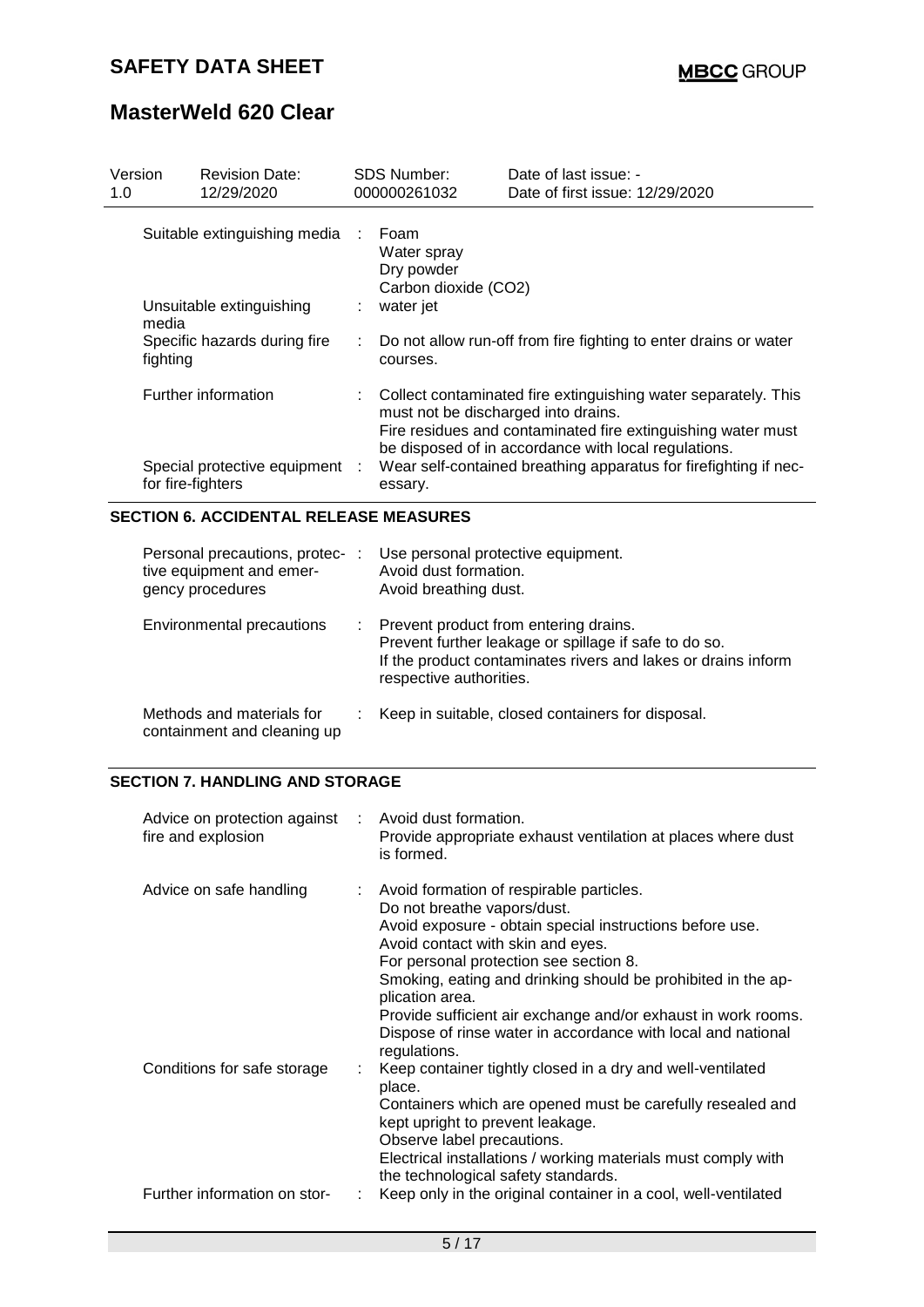| Version<br>1.0 |                                                                            | <b>Revision Date:</b><br>12/29/2020                      |         | <b>SDS Number:</b><br>000000261032                                     | Date of last issue: -<br>Date of first issue: 12/29/2020                                                                                                                                                                                                     |  |
|----------------|----------------------------------------------------------------------------|----------------------------------------------------------|---------|------------------------------------------------------------------------|--------------------------------------------------------------------------------------------------------------------------------------------------------------------------------------------------------------------------------------------------------------|--|
|                | media                                                                      | Suitable extinguishing media<br>Unsuitable extinguishing | ÷<br>÷. | Foam<br>Water spray<br>Dry powder<br>Carbon dioxide (CO2)<br>water jet |                                                                                                                                                                                                                                                              |  |
|                | fighting                                                                   | Specific hazards during fire                             |         | courses.                                                               | Do not allow run-off from fire fighting to enter drains or water                                                                                                                                                                                             |  |
|                | Further information<br>Special protective equipment :<br>for fire-fighters |                                                          |         | must not be discharged into drains.<br>essary.                         | : Collect contaminated fire extinguishing water separately. This<br>Fire residues and contaminated fire extinguishing water must<br>be disposed of in accordance with local regulations.<br>Wear self-contained breathing apparatus for firefighting if nec- |  |

### **SECTION 6. ACCIDENTAL RELEASE MEASURES**

| Personal precautions, protec- :<br>tive equipment and emer-<br>gency procedures |    | Use personal protective equipment.<br>Avoid dust formation.<br>Avoid breathing dust.                                                                                                       |
|---------------------------------------------------------------------------------|----|--------------------------------------------------------------------------------------------------------------------------------------------------------------------------------------------|
| Environmental precautions                                                       | ÷. | Prevent product from entering drains.<br>Prevent further leakage or spillage if safe to do so.<br>If the product contaminates rivers and lakes or drains inform<br>respective authorities. |
| Methods and materials for<br>containment and cleaning up                        |    | Keep in suitable, closed containers for disposal.                                                                                                                                          |

### **SECTION 7. HANDLING AND STORAGE**

| Advice on protection against<br>fire and explosion |    | Avoid dust formation.<br>Provide appropriate exhaust ventilation at places where dust<br>is formed.                                                                                                                                                                                                                                                                                                                                                    |
|----------------------------------------------------|----|--------------------------------------------------------------------------------------------------------------------------------------------------------------------------------------------------------------------------------------------------------------------------------------------------------------------------------------------------------------------------------------------------------------------------------------------------------|
| Advice on safe handling                            | t. | Avoid formation of respirable particles.<br>Do not breathe vapors/dust.<br>Avoid exposure - obtain special instructions before use.<br>Avoid contact with skin and eyes.<br>For personal protection see section 8.<br>Smoking, eating and drinking should be prohibited in the ap-<br>plication area.<br>Provide sufficient air exchange and/or exhaust in work rooms.<br>Dispose of rinse water in accordance with local and national<br>regulations. |
| Conditions for safe storage                        |    | Keep container tightly closed in a dry and well-ventilated<br>place.<br>Containers which are opened must be carefully resealed and<br>kept upright to prevent leakage.<br>Observe label precautions.<br>Electrical installations / working materials must comply with<br>the technological safety standards.                                                                                                                                           |
| Further information on stor-                       |    | Keep only in the original container in a cool, well-ventilated                                                                                                                                                                                                                                                                                                                                                                                         |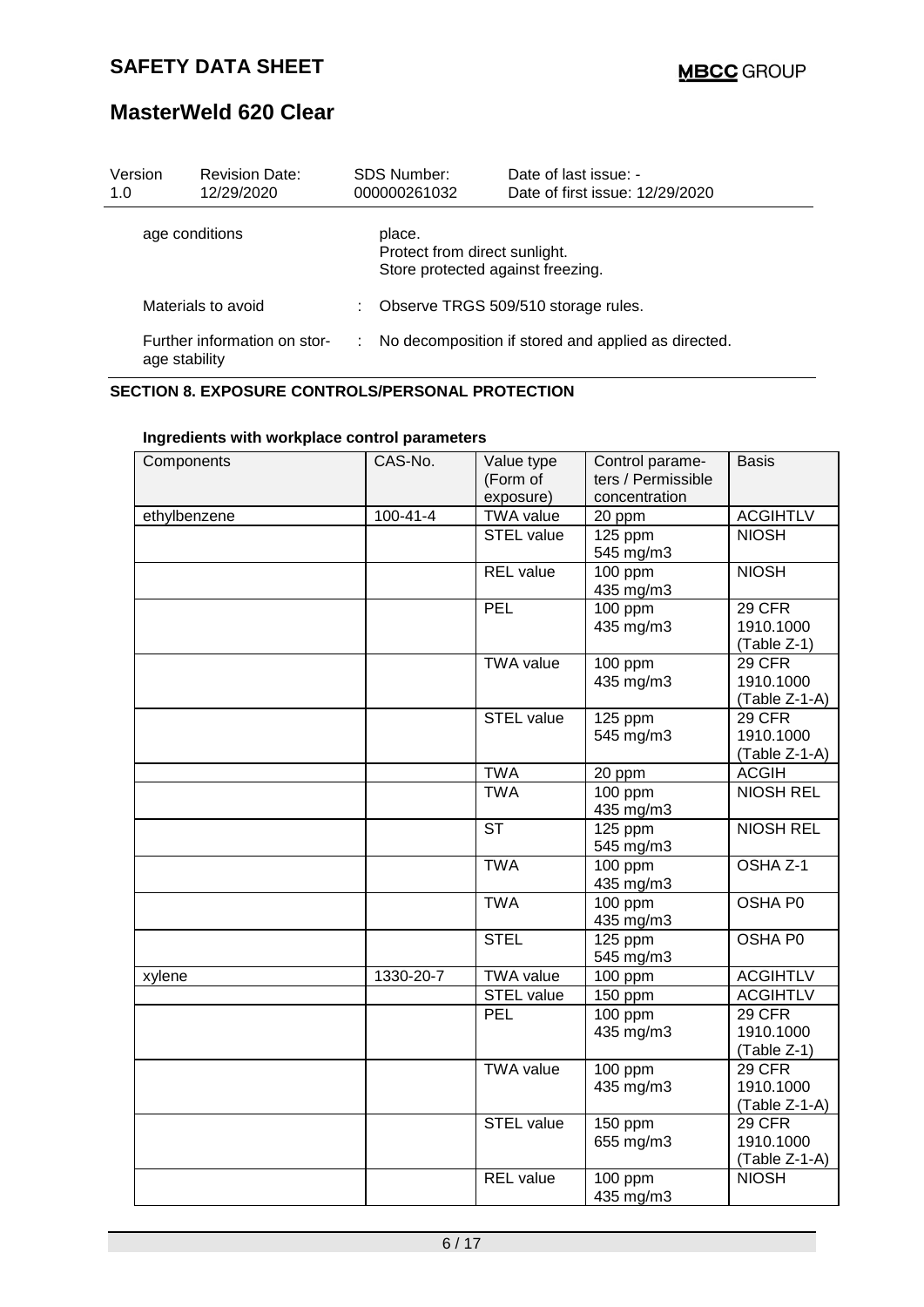| Version<br>1.0                                | <b>Revision Date:</b><br>12/29/2020 |   | SDS Number:<br>000000261032                                                  | Date of last issue: -<br>Date of first issue: 12/29/2020 |
|-----------------------------------------------|-------------------------------------|---|------------------------------------------------------------------------------|----------------------------------------------------------|
|                                               | age conditions                      |   | place.<br>Protect from direct sunlight.<br>Store protected against freezing. |                                                          |
|                                               | Materials to avoid                  | ÷ |                                                                              | Observe TRGS 509/510 storage rules.                      |
| Further information on stor-<br>age stability |                                     |   |                                                                              | No decomposition if stored and applied as directed.      |

### **SECTION 8. EXPOSURE CONTROLS/PERSONAL PROTECTION**

| Components   | CAS-No.        | Value type        | Control parame-    | <b>Basis</b>     |
|--------------|----------------|-------------------|--------------------|------------------|
|              |                | (Form of          | ters / Permissible |                  |
|              |                | exposure)         | concentration      |                  |
| ethylbenzene | $100 - 41 - 4$ | <b>TWA value</b>  | 20 ppm             | <b>ACGIHTLV</b>  |
|              |                | <b>STEL value</b> | 125 ppm            | <b>NIOSH</b>     |
|              |                |                   | 545 mg/m3          |                  |
|              |                | <b>REL</b> value  | 100 ppm            | <b>NIOSH</b>     |
|              |                |                   | 435 mg/m3          |                  |
|              |                | PEL               | 100 ppm            | <b>29 CFR</b>    |
|              |                |                   | 435 mg/m3          | 1910.1000        |
|              |                |                   |                    | (Table Z-1)      |
|              |                | <b>TWA value</b>  | 100 ppm            | 29 CFR           |
|              |                |                   | 435 mg/m3          | 1910.1000        |
|              |                |                   |                    | (Table Z-1-A)    |
|              |                | <b>STEL value</b> | 125 ppm            | 29 CFR           |
|              |                |                   | 545 mg/m3          | 1910.1000        |
|              |                |                   |                    | (Table Z-1-A)    |
|              |                | <b>TWA</b>        | 20 ppm             | <b>ACGIH</b>     |
|              |                | <b>TWA</b>        | 100 ppm            | <b>NIOSH REL</b> |
|              |                |                   | 435 mg/m3          |                  |
|              |                | <b>ST</b>         | 125 ppm            | <b>NIOSH REL</b> |
|              |                |                   | 545 mg/m3          |                  |
|              |                | <b>TWA</b>        | 100 ppm            | OSHA Z-1         |
|              |                |                   | 435 mg/m3          |                  |
|              |                | <b>TWA</b>        | 100 ppm            | OSHA P0          |
|              |                |                   | 435 mg/m3          |                  |
|              |                | <b>STEL</b>       | 125 ppm            | OSHA P0          |
|              |                |                   | 545 mg/m3          |                  |
| xylene       | 1330-20-7      | <b>TWA value</b>  | $100$ ppm          | <b>ACGIHTLV</b>  |
|              |                | STEL value        | 150 ppm            | <b>ACGIHTLV</b>  |
|              |                | <b>PEL</b>        | 100 ppm            | 29 CFR           |
|              |                |                   | 435 mg/m3          | 1910.1000        |
|              |                |                   |                    | (Table Z-1)      |
|              |                | <b>TWA value</b>  | 100 ppm            | 29 CFR           |
|              |                |                   | 435 mg/m3          | 1910.1000        |
|              |                |                   |                    | (Table Z-1-A)    |
|              |                | <b>STEL value</b> | 150 ppm            | 29 CFR           |
|              |                |                   | 655 mg/m3          | 1910.1000        |
|              |                |                   |                    | (Table Z-1-A)    |
|              |                | <b>REL</b> value  | 100 ppm            | <b>NIOSH</b>     |
|              |                |                   | 435 mg/m3          |                  |

### **Ingredients with workplace control parameters**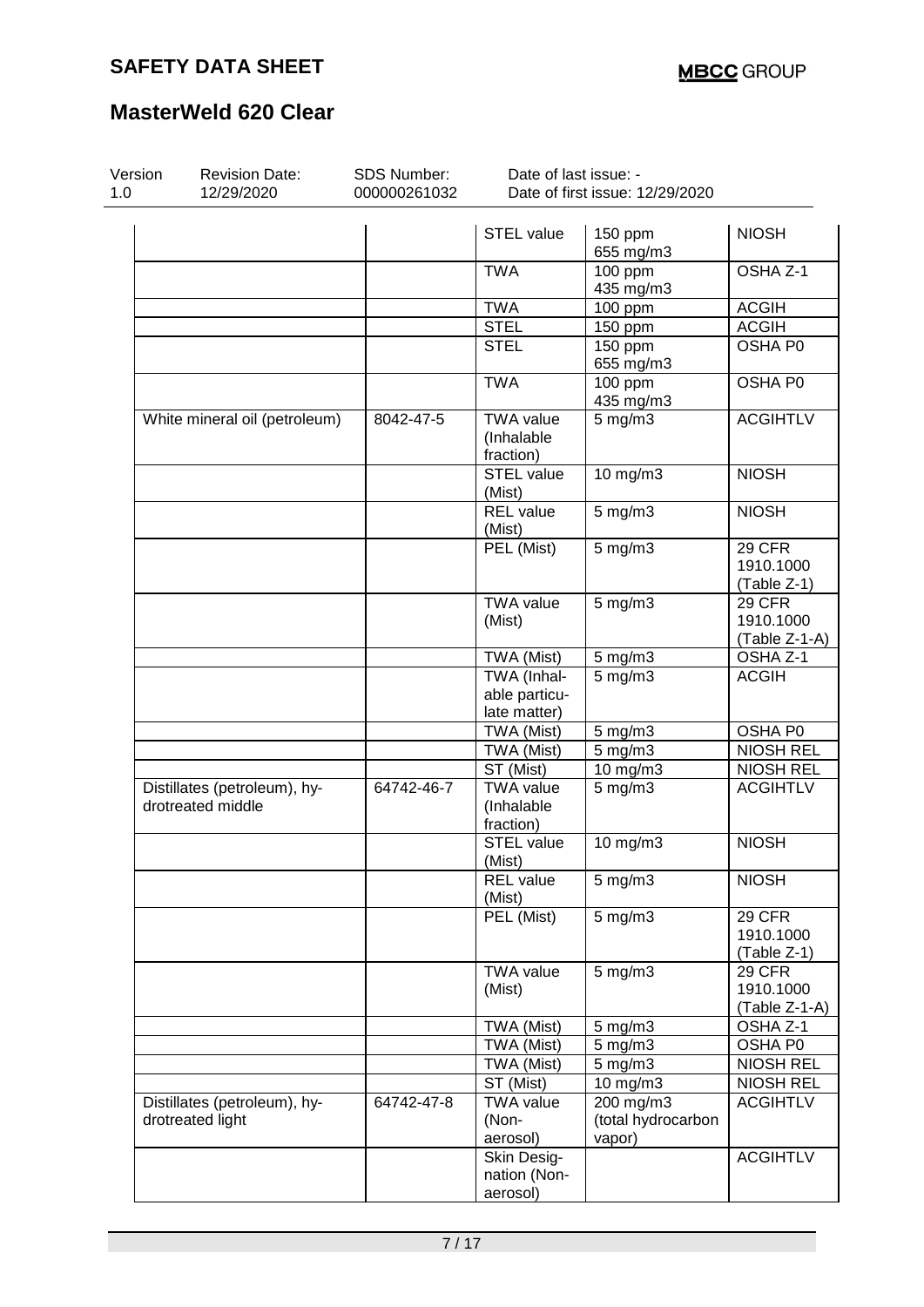| Version<br>1.0 | <b>Revision Date:</b><br>12/29/2020               | SDS Number:<br>000000261032 | Date of last issue: -                        | Date of first issue: 12/29/2020           |                                             |
|----------------|---------------------------------------------------|-----------------------------|----------------------------------------------|-------------------------------------------|---------------------------------------------|
|                |                                                   |                             | <b>STEL value</b>                            | 150 ppm<br>655 mg/m3                      | <b>NIOSH</b>                                |
|                |                                                   |                             | <b>TWA</b>                                   | 100 ppm<br>435 mg/m3                      | OSHA Z-1                                    |
|                |                                                   |                             | <b>TWA</b>                                   | 100 ppm                                   | <b>ACGIH</b>                                |
|                |                                                   |                             | <b>STEL</b>                                  | 150 ppm                                   | <b>ACGIH</b>                                |
|                |                                                   |                             | <b>STEL</b>                                  | 150 ppm<br>655 mg/m3                      | OSHA P0                                     |
|                |                                                   |                             | <b>TWA</b>                                   | $100$ ppm<br>435 mg/m3                    | OSHA P0                                     |
|                | White mineral oil (petroleum)                     | 8042-47-5                   | <b>TWA value</b><br>(Inhalable<br>fraction)  | $5$ mg/m $3$                              | <b>ACGIHTLV</b>                             |
|                |                                                   |                             | <b>STEL value</b><br>(Mist)                  | 10 mg/m3                                  | <b>NIOSH</b>                                |
|                |                                                   |                             | <b>REL</b> value<br>(Mist)                   | $5$ mg/m $3$                              | <b>NIOSH</b>                                |
|                |                                                   |                             | PEL (Mist)                                   | $5$ mg/m $3$                              | 29 CFR<br>1910.1000<br>(Table Z-1)          |
|                |                                                   |                             | <b>TWA</b> value<br>(Mist)                   | $5$ mg/m $3$                              | 29 CFR<br>1910.1000<br>(Table Z-1-A)        |
|                |                                                   |                             | TWA (Mist)                                   | $5$ mg/m $3$                              | OSHA Z-1                                    |
|                |                                                   |                             | TWA (Inhal-<br>able particu-<br>late matter) | $5$ mg/m $3$                              | <b>ACGIH</b>                                |
|                |                                                   |                             | TWA (Mist)                                   | $5$ mg/m $3$                              | OSHA P0                                     |
|                |                                                   |                             | TWA (Mist)                                   | $5$ mg/m $3$                              | <b>NIOSH REL</b>                            |
|                |                                                   |                             | ST (Mist)                                    | 10 mg/m3                                  | <b>NIOSH REL</b>                            |
|                | Distillates (petroleum), hy-<br>drotreated middle | 64742-46-7                  | <b>TWA value</b><br>(Inhalable<br>fraction)  | $5$ mg/m $3$                              | <b>ACGIHTLV</b>                             |
|                |                                                   |                             | <b>STEL value</b><br>(Mist)                  | 10 mg/m3                                  | <b>NIOSH</b>                                |
|                |                                                   |                             | <b>REL</b> value<br>(Mist)                   | $5$ mg/m $3$                              | <b>NIOSH</b>                                |
|                |                                                   |                             | PEL (Mist)                                   | $5$ mg/m $3$                              | <b>29 CFR</b><br>1910.1000<br>(Table Z-1)   |
|                |                                                   |                             | <b>TWA value</b><br>(Mist)                   | $5$ mg/m $3$                              | <b>29 CFR</b><br>1910.1000<br>(Table Z-1-A) |
|                |                                                   |                             | TWA (Mist)                                   | $5$ mg/m $3$                              | OSHA Z-1                                    |
|                |                                                   |                             | TWA (Mist)                                   | $5$ mg/m $3$                              | OSHA P0                                     |
|                |                                                   |                             | TWA (Mist)                                   | $5$ mg/m $3$                              | <b>NIOSH REL</b>                            |
|                |                                                   |                             | ST (Mist)                                    | 10 mg/m3                                  | <b>NIOSH REL</b>                            |
|                | Distillates (petroleum), hy-<br>drotreated light  | 64742-47-8                  | <b>TWA value</b><br>(Non-<br>aerosol)        | 200 mg/m3<br>(total hydrocarbon<br>vapor) | <b>ACGIHTLV</b>                             |
|                |                                                   |                             | Skin Desig-<br>nation (Non-<br>aerosol)      |                                           | <b>ACGIHTLV</b>                             |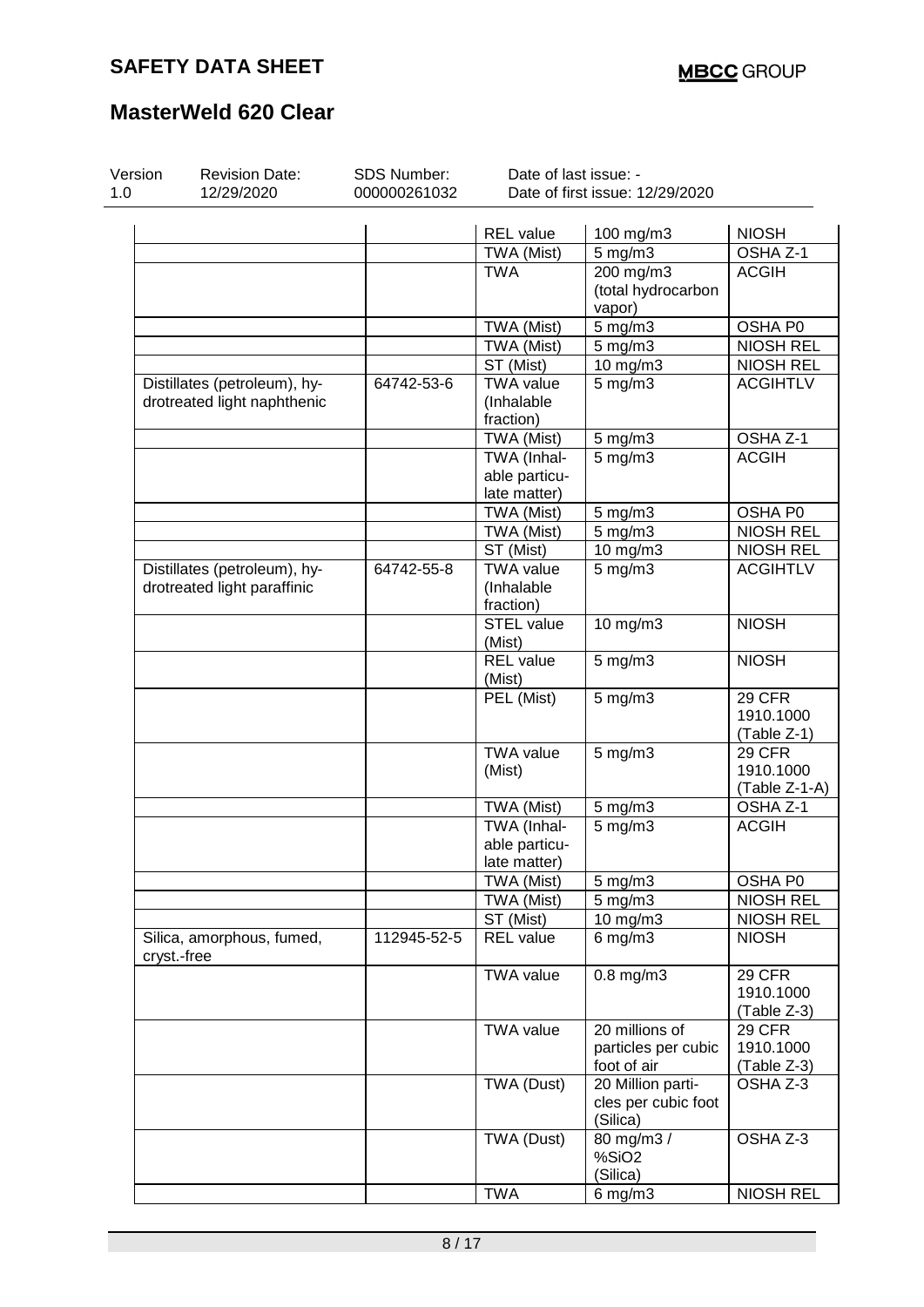| Version<br>1.0 | <b>Revision Date:</b><br>12/29/2020 | SDS Number:<br>000000261032 | Date of last issue: -         | Date of first issue: 12/29/2020 |                  |
|----------------|-------------------------------------|-----------------------------|-------------------------------|---------------------------------|------------------|
|                |                                     |                             |                               |                                 |                  |
|                |                                     |                             | <b>REL</b> value              | 100 mg/m3                       | <b>NIOSH</b>     |
|                |                                     |                             | TWA (Mist)                    | 5 mg/m3                         | OSHA Z-1         |
|                |                                     |                             | <b>TWA</b>                    | $200$ mg/m3                     | <b>ACGIH</b>     |
|                |                                     |                             |                               | (total hydrocarbon              |                  |
|                |                                     |                             |                               | vapor)                          |                  |
|                |                                     |                             | TWA (Mist)                    | 5 mg/m3                         | OSHA P0          |
|                |                                     |                             | TWA (Mist)                    | 5 mg/m3                         | <b>NIOSH REL</b> |
|                |                                     |                             | ST (Mist)                     | 10 mg/m3                        | <b>NIOSH REL</b> |
|                | Distillates (petroleum), hy-        | 64742-53-6                  | <b>TWA value</b>              | $5 \text{ mg/m}$                | <b>ACGIHTLV</b>  |
|                | drotreated light naphthenic         |                             | (Inhalable                    |                                 |                  |
|                |                                     |                             | fraction)                     |                                 |                  |
|                |                                     |                             | TWA (Mist)                    | $5$ mg/m $3$                    | OSHA Z-1         |
|                |                                     |                             | TWA (Inhal-                   | $5$ mg/m $3$                    | <b>ACGIH</b>     |
|                |                                     |                             | able particu-                 |                                 |                  |
|                |                                     |                             | late matter)                  |                                 |                  |
|                |                                     |                             | TWA (Mist)                    | $5$ mg/m $3$                    | OSHA P0          |
|                |                                     |                             | TWA (Mist)                    | $5$ mg/m $3$                    | <b>NIOSH REL</b> |
|                |                                     |                             | ST (Mist)                     | 10 mg/m3                        | <b>NIOSH REL</b> |
|                | Distillates (petroleum), hy-        | 64742-55-8                  | <b>TWA value</b>              | $5$ mg/m $3$                    | <b>ACGIHTLV</b>  |
|                | drotreated light paraffinic         |                             | (Inhalable                    |                                 |                  |
|                |                                     |                             | fraction)                     |                                 |                  |
|                |                                     |                             | STEL value                    | 10 mg/m3                        | <b>NIOSH</b>     |
|                |                                     |                             | (Mist)                        |                                 |                  |
|                |                                     |                             | <b>REL</b> value              | $5$ mg/m $3$                    | <b>NIOSH</b>     |
|                |                                     |                             | (Mist)                        |                                 |                  |
|                |                                     |                             | PEL (Mist)                    | $5$ mg/m $3$                    | 29 CFR           |
|                |                                     |                             |                               |                                 | 1910.1000        |
|                |                                     |                             |                               |                                 | (Table Z-1)      |
|                |                                     |                             | <b>TWA value</b>              | 5 mg/m3                         | 29 CFR           |
|                |                                     |                             | (Mist)                        |                                 | 1910.1000        |
|                |                                     |                             |                               |                                 | (Table Z-1-A)    |
|                |                                     |                             | TWA (Mist)                    | $5 \text{ mg/m}$ 3              | OSHA Z-1         |
|                |                                     |                             | TWA (Inhal-                   | $5 \,\mathrm{mg/m}$             | <b>ACGIH</b>     |
|                |                                     |                             | able particu-                 |                                 |                  |
|                |                                     |                             | late matter)                  |                                 |                  |
|                |                                     |                             | TWA (Mist)                    | $5 \text{ mg/m}$ 3              | OSHA P0          |
|                |                                     |                             | TWA (Mist)                    | $5$ mg/m $3$                    | <b>NIOSH REL</b> |
|                |                                     |                             |                               |                                 | <b>NIOSH REL</b> |
|                |                                     |                             | ST (Mist)<br><b>REL</b> value | $10$ mg/m $3$                   | <b>NIOSH</b>     |
| cryst.-free    | Silica, amorphous, fumed,           | 112945-52-5                 |                               | $6$ mg/m $3$                    |                  |
|                |                                     |                             | <b>TWA value</b>              | $0.8$ mg/m $3$                  | <b>29 CFR</b>    |
|                |                                     |                             |                               |                                 | 1910.1000        |
|                |                                     |                             |                               |                                 | (Table Z-3)      |
|                |                                     |                             | <b>TWA value</b>              | 20 millions of                  | <b>29 CFR</b>    |
|                |                                     |                             |                               | particles per cubic             | 1910.1000        |
|                |                                     |                             |                               | foot of air                     | (Table Z-3)      |
|                |                                     |                             | TWA (Dust)                    | 20 Million parti-               | OSHA Z-3         |
|                |                                     |                             |                               | cles per cubic foot<br>(Silica) |                  |
|                |                                     |                             | TWA (Dust)                    | 80 mg/m3 /                      | OSHA Z-3         |
|                |                                     |                             |                               | %SiO2                           |                  |
|                |                                     |                             |                               | (Silica)                        |                  |
|                |                                     |                             | <b>TWA</b>                    | $6$ mg/m $3$                    | <b>NIOSH REL</b> |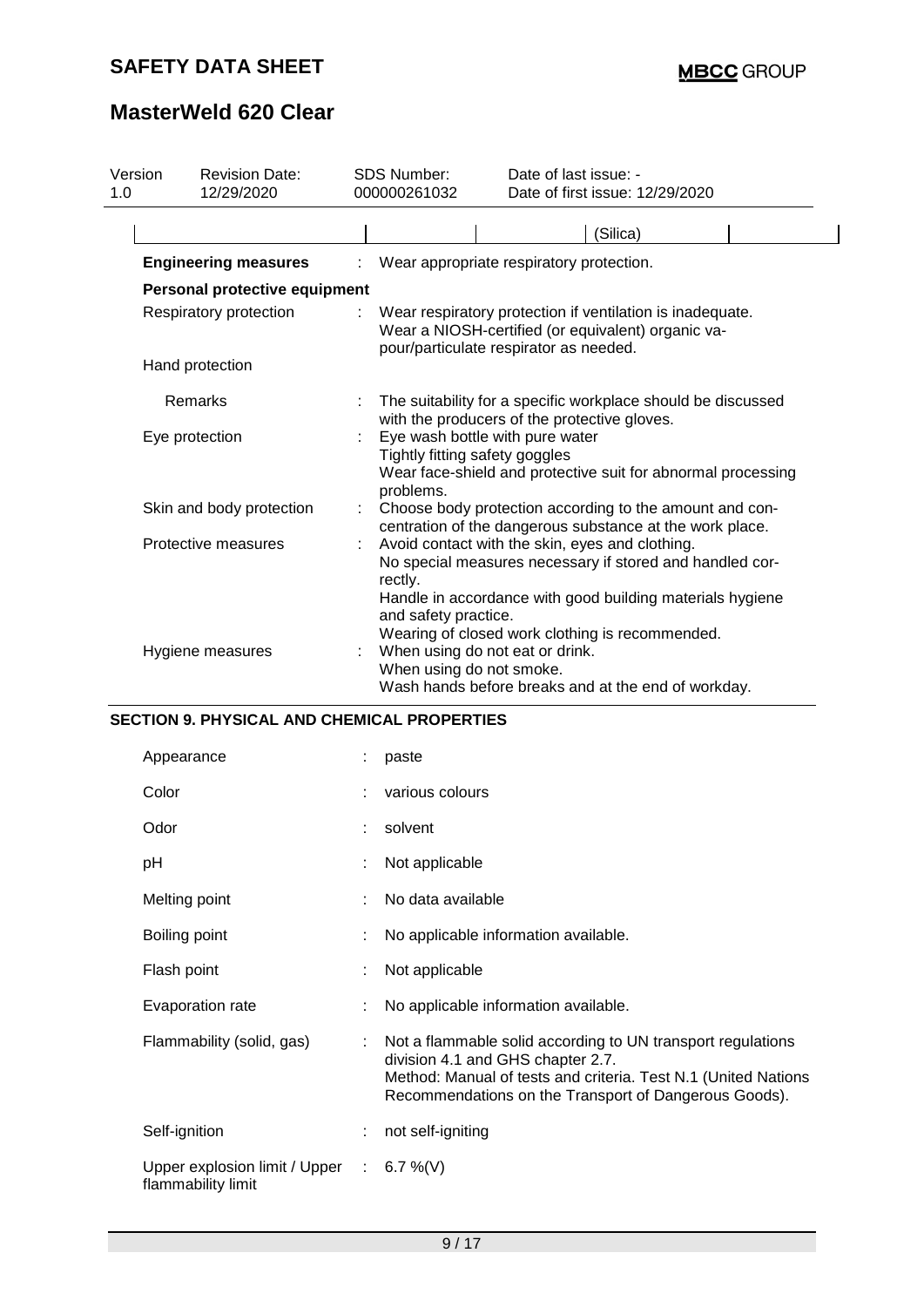| 1.0 | Version<br><b>Revision Date:</b><br>12/29/2020      |    | SDS Number:<br>000000261032                                                    | Date of last issue: -<br>Date of first issue: 12/29/2020                                                                                                                                                                    |
|-----|-----------------------------------------------------|----|--------------------------------------------------------------------------------|-----------------------------------------------------------------------------------------------------------------------------------------------------------------------------------------------------------------------------|
|     |                                                     |    |                                                                                | (Silica)                                                                                                                                                                                                                    |
|     | <b>Engineering measures</b>                         |    |                                                                                | Wear appropriate respiratory protection.                                                                                                                                                                                    |
|     | Personal protective equipment                       |    |                                                                                |                                                                                                                                                                                                                             |
|     | Respiratory protection                              |    |                                                                                | Wear respiratory protection if ventilation is inadequate.<br>Wear a NIOSH-certified (or equivalent) organic va-<br>pour/particulate respirator as needed.                                                                   |
|     | Hand protection                                     |    |                                                                                |                                                                                                                                                                                                                             |
|     | Remarks                                             |    |                                                                                | The suitability for a specific workplace should be discussed<br>with the producers of the protective gloves.                                                                                                                |
|     | Eye protection                                      |    | Eye wash bottle with pure water<br>Tightly fitting safety goggles<br>problems. | Wear face-shield and protective suit for abnormal processing                                                                                                                                                                |
|     | Skin and body protection                            |    |                                                                                | Choose body protection according to the amount and con-<br>centration of the dangerous substance at the work place.                                                                                                         |
|     | Protective measures                                 |    | rectly.<br>and safety practice.                                                | Avoid contact with the skin, eyes and clothing.<br>No special measures necessary if stored and handled cor-<br>Handle in accordance with good building materials hygiene<br>Wearing of closed work clothing is recommended. |
|     | Hygiene measures                                    |    | When using do not eat or drink.<br>When using do not smoke.                    | Wash hands before breaks and at the end of workday.                                                                                                                                                                         |
|     | <b>SECTION 9. PHYSICAL AND CHEMICAL PROPERTIES</b>  |    |                                                                                |                                                                                                                                                                                                                             |
|     | Appearance                                          |    | paste                                                                          |                                                                                                                                                                                                                             |
|     | Color                                               |    | various colours                                                                |                                                                                                                                                                                                                             |
|     | Odor                                                |    | solvent                                                                        |                                                                                                                                                                                                                             |
|     | pH                                                  |    | Not applicable                                                                 |                                                                                                                                                                                                                             |
|     | Melting point                                       |    | No data available                                                              |                                                                                                                                                                                                                             |
|     | Boiling point                                       |    | No applicable information available.                                           |                                                                                                                                                                                                                             |
|     | Flash point                                         |    | Not applicable                                                                 |                                                                                                                                                                                                                             |
|     | Evaporation rate                                    |    | No applicable information available.                                           |                                                                                                                                                                                                                             |
|     | Flammability (solid, gas)                           |    | division 4.1 and GHS chapter 2.7.                                              | Not a flammable solid according to UN transport regulations<br>Method: Manual of tests and criteria. Test N.1 (United Nations<br>Recommendations on the Transport of Dangerous Goods).                                      |
|     | Self-ignition                                       |    | not self-igniting                                                              |                                                                                                                                                                                                                             |
|     | Upper explosion limit / Upper<br>flammability limit | ÷. | 6.7 %(V)                                                                       |                                                                                                                                                                                                                             |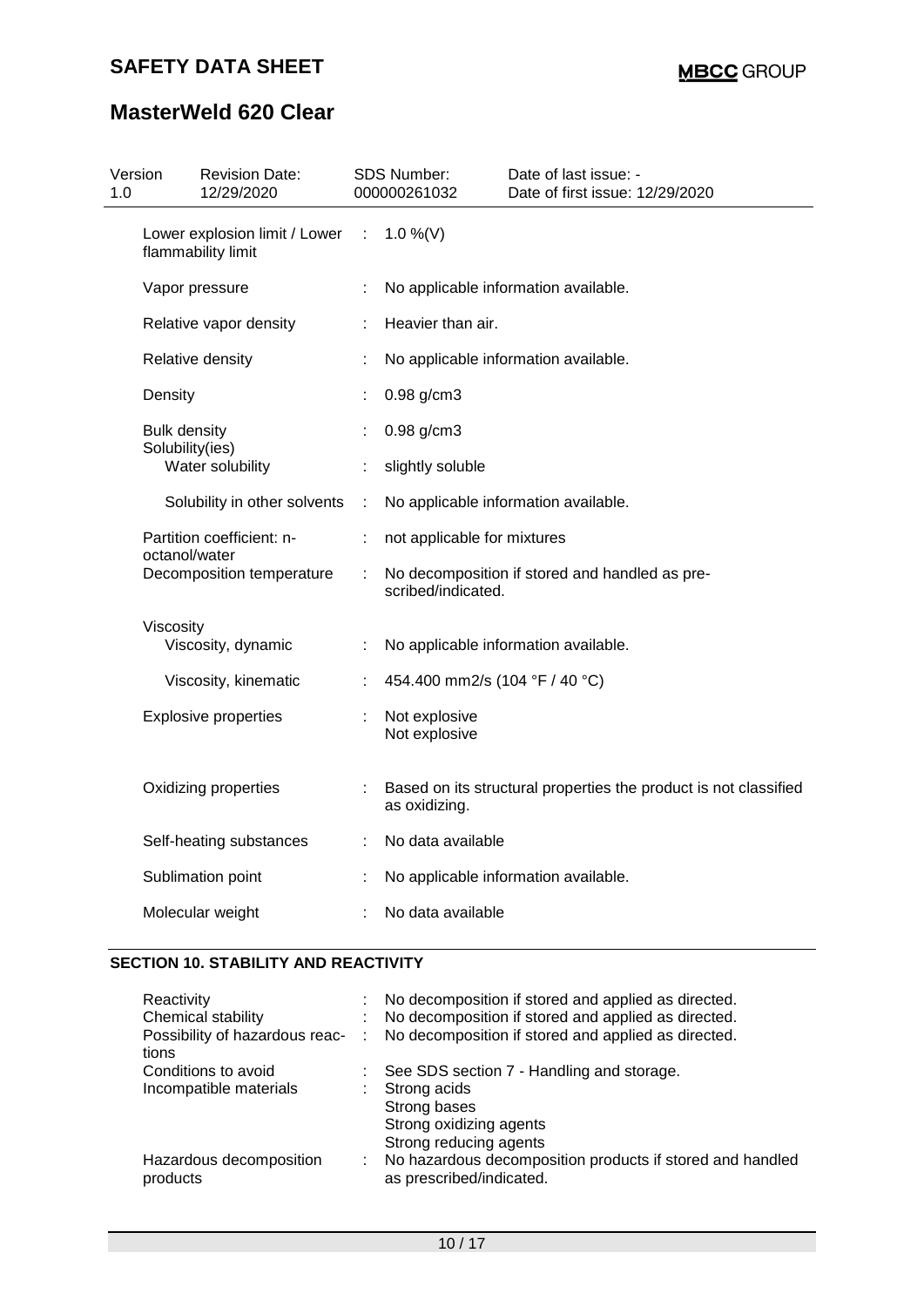| 1.0 | Version                                | <b>Revision Date:</b><br>12/29/2020                 |   | <b>SDS Number:</b><br>000000261032 | Date of last issue: -<br>Date of first issue: 12/29/2020         |
|-----|----------------------------------------|-----------------------------------------------------|---|------------------------------------|------------------------------------------------------------------|
|     |                                        | Lower explosion limit / Lower<br>flammability limit | ÷ | 1.0 %(V)                           |                                                                  |
|     |                                        | Vapor pressure                                      |   |                                    | No applicable information available.                             |
|     |                                        | Relative vapor density                              |   | Heavier than air.                  |                                                                  |
|     |                                        | Relative density                                    | ÷ |                                    | No applicable information available.                             |
|     | Density                                |                                                     |   | $0.98$ g/cm3                       |                                                                  |
|     | <b>Bulk density</b><br>Solubility(ies) |                                                     |   | 0.98 g/cm3                         |                                                                  |
|     |                                        | Water solubility                                    | ÷ | slightly soluble                   |                                                                  |
|     |                                        | Solubility in other solvents                        | ÷ |                                    | No applicable information available.                             |
|     | octanol/water                          | Partition coefficient: n-                           | ÷ | not applicable for mixtures        |                                                                  |
|     |                                        | Decomposition temperature                           |   | scribed/indicated.                 | No decomposition if stored and handled as pre-                   |
|     | Viscosity                              |                                                     |   |                                    |                                                                  |
|     |                                        | Viscosity, dynamic                                  | ÷ |                                    | No applicable information available.                             |
|     |                                        | Viscosity, kinematic                                |   | 454.400 mm2/s (104 °F / 40 °C)     |                                                                  |
|     |                                        | <b>Explosive properties</b>                         |   | Not explosive<br>Not explosive     |                                                                  |
|     |                                        | Oxidizing properties                                |   | as oxidizing.                      | Based on its structural properties the product is not classified |
|     |                                        | Self-heating substances                             |   | No data available                  |                                                                  |
|     |                                        | Sublimation point                                   |   |                                    | No applicable information available.                             |
|     |                                        | Molecular weight                                    |   | No data available                  |                                                                  |
|     |                                        |                                                     |   |                                    |                                                                  |

### **SECTION 10. STABILITY AND REACTIVITY**

| Reactivity                              | No decomposition if stored and applied as directed.                                   |
|-----------------------------------------|---------------------------------------------------------------------------------------|
| Chemical stability                      | No decomposition if stored and applied as directed.                                   |
| Possibility of hazardous reac-<br>tions | No decomposition if stored and applied as directed.                                   |
| Conditions to avoid                     | See SDS section 7 - Handling and storage.                                             |
| Incompatible materials                  | Strong acids                                                                          |
|                                         | Strong bases                                                                          |
|                                         | Strong oxidizing agents                                                               |
|                                         | Strong reducing agents                                                                |
| Hazardous decomposition<br>products     | No hazardous decomposition products if stored and handled<br>as prescribed/indicated. |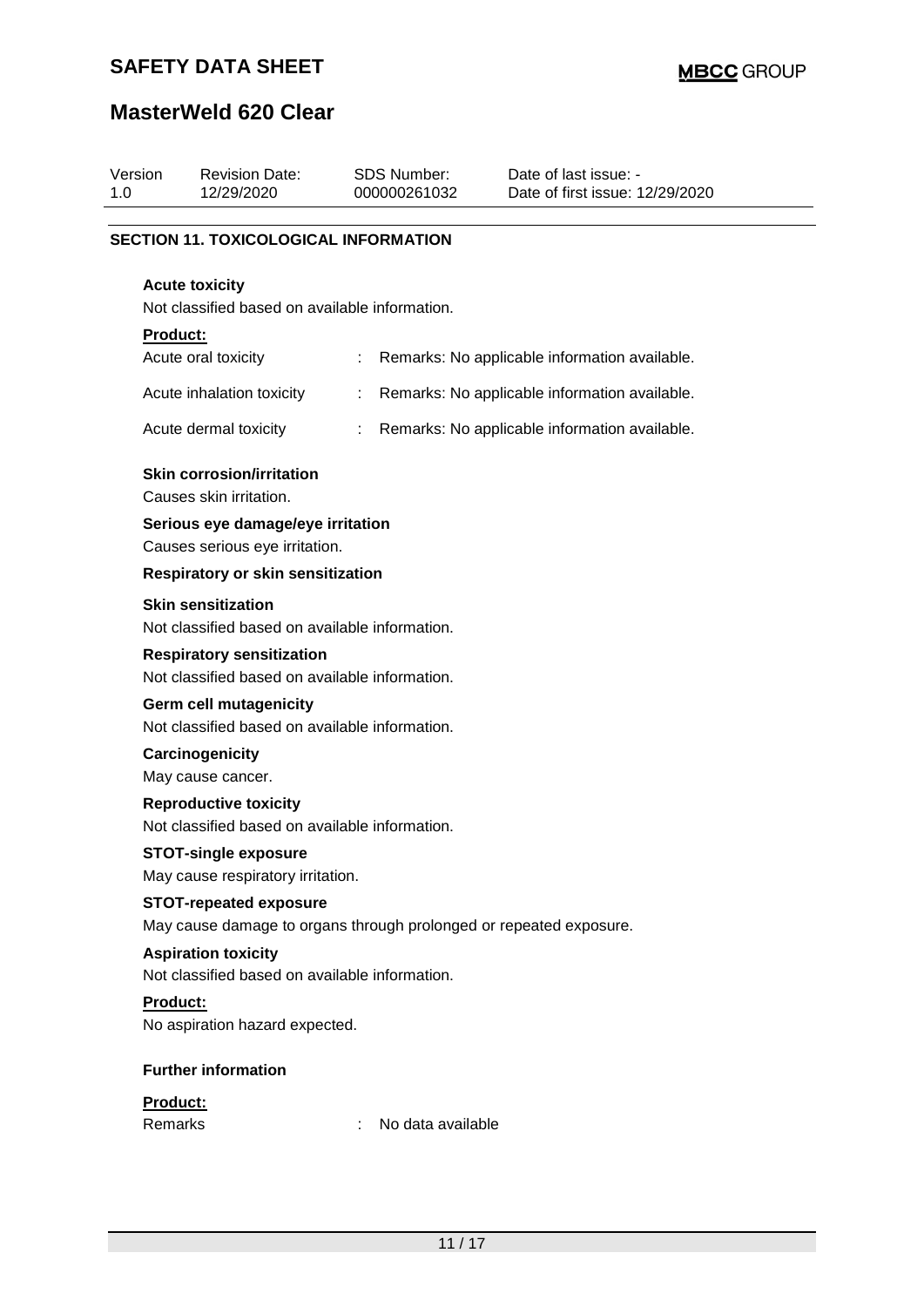## **SAFETY DATA SHEET**

| Version<br>1.0 | <b>Revision Date:</b><br>12/29/2020                                                                 | <b>SDS Number:</b><br>000000261032 | Date of last issue: -<br>Date of first issue: 12/29/2020 |
|----------------|-----------------------------------------------------------------------------------------------------|------------------------------------|----------------------------------------------------------|
|                |                                                                                                     |                                    |                                                          |
|                | <b>SECTION 11. TOXICOLOGICAL INFORMATION</b>                                                        |                                    |                                                          |
|                | <b>Acute toxicity</b>                                                                               |                                    |                                                          |
|                | Not classified based on available information.                                                      |                                    |                                                          |
|                | Product:                                                                                            |                                    |                                                          |
|                | Acute oral toxicity                                                                                 |                                    | Remarks: No applicable information available.            |
|                | Acute inhalation toxicity                                                                           | ÷                                  | Remarks: No applicable information available.            |
|                | Acute dermal toxicity                                                                               | ÷                                  | Remarks: No applicable information available.            |
|                | <b>Skin corrosion/irritation</b><br>Causes skin irritation.                                         |                                    |                                                          |
|                | Serious eye damage/eye irritation<br>Causes serious eye irritation.                                 |                                    |                                                          |
|                | <b>Respiratory or skin sensitization</b>                                                            |                                    |                                                          |
|                | <b>Skin sensitization</b><br>Not classified based on available information.                         |                                    |                                                          |
|                | <b>Respiratory sensitization</b><br>Not classified based on available information.                  |                                    |                                                          |
|                | <b>Germ cell mutagenicity</b><br>Not classified based on available information.                     |                                    |                                                          |
|                | Carcinogenicity<br>May cause cancer.                                                                |                                    |                                                          |
|                | <b>Reproductive toxicity</b><br>Not classified based on available information.                      |                                    |                                                          |
|                | <b>STOT-single exposure</b><br>May cause respiratory irritation.                                    |                                    |                                                          |
|                | <b>STOT-repeated exposure</b><br>May cause damage to organs through prolonged or repeated exposure. |                                    |                                                          |
|                | <b>Aspiration toxicity</b><br>Not classified based on available information.                        |                                    |                                                          |
|                | <b>Product:</b>                                                                                     |                                    |                                                          |
|                | No aspiration hazard expected.                                                                      |                                    |                                                          |
|                | <b>Further information</b>                                                                          |                                    |                                                          |
|                | Product:<br>Remarks                                                                                 | No data available                  |                                                          |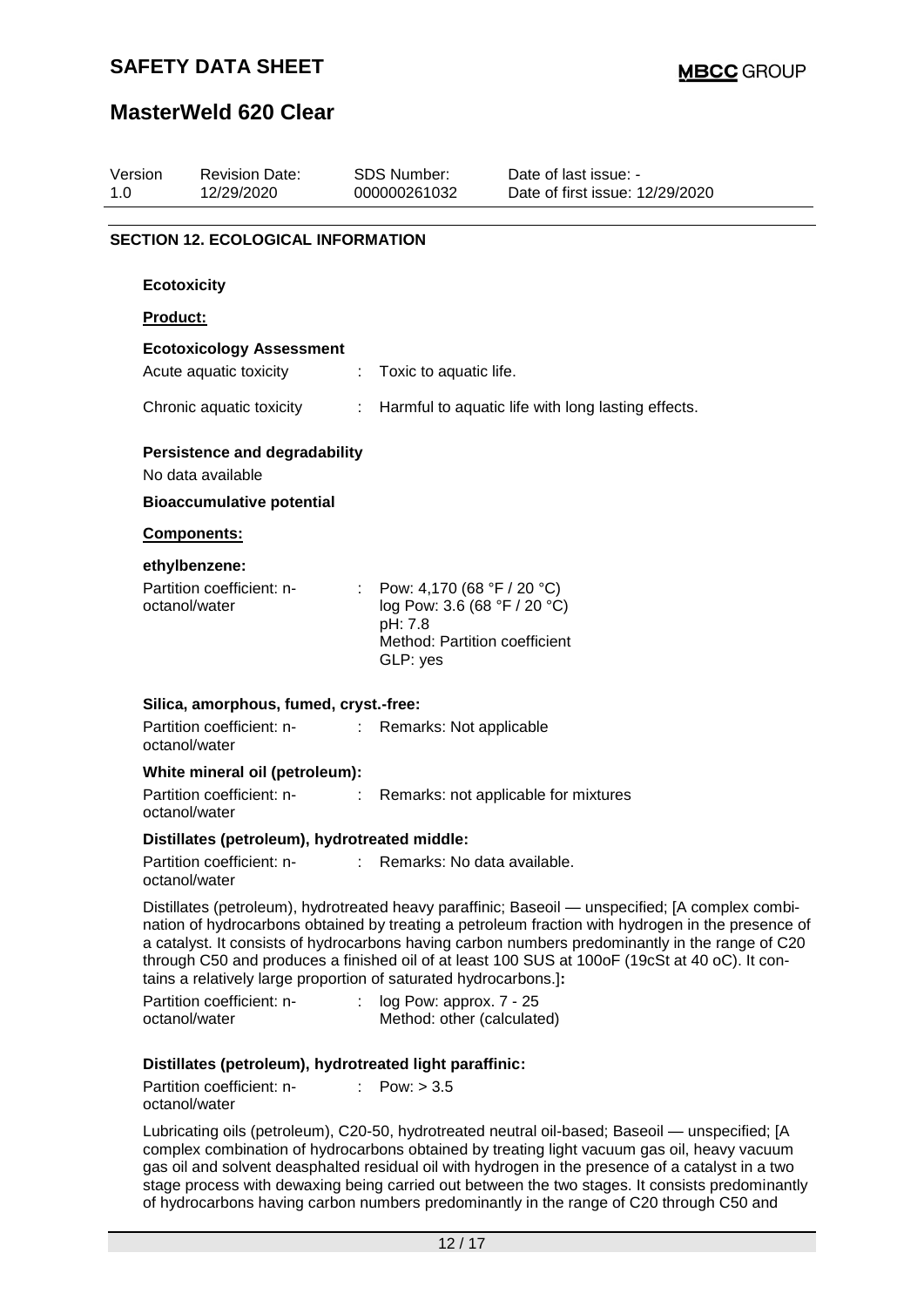## **SAFETY DATA SHEET**

## **MasterWeld 620 Clear**

| Version<br>1.0 | <b>Revision Date:</b><br>12/29/2020                              |                              | <b>SDS Number:</b><br>000000261032                                                                                   | Date of last issue: -<br>Date of first issue: 12/29/2020                                                                                                                                                                                                                                                                                                                                                   |
|----------------|------------------------------------------------------------------|------------------------------|----------------------------------------------------------------------------------------------------------------------|------------------------------------------------------------------------------------------------------------------------------------------------------------------------------------------------------------------------------------------------------------------------------------------------------------------------------------------------------------------------------------------------------------|
|                | <b>SECTION 12. ECOLOGICAL INFORMATION</b>                        |                              |                                                                                                                      |                                                                                                                                                                                                                                                                                                                                                                                                            |
|                |                                                                  |                              |                                                                                                                      |                                                                                                                                                                                                                                                                                                                                                                                                            |
|                | <b>Ecotoxicity</b>                                               |                              |                                                                                                                      |                                                                                                                                                                                                                                                                                                                                                                                                            |
| Product:       |                                                                  |                              |                                                                                                                      |                                                                                                                                                                                                                                                                                                                                                                                                            |
|                | <b>Ecotoxicology Assessment</b><br>Acute aquatic toxicity        | ÷.                           | Toxic to aquatic life.                                                                                               |                                                                                                                                                                                                                                                                                                                                                                                                            |
|                | Chronic aquatic toxicity                                         | $\mathcal{L}_{\mathrm{max}}$ |                                                                                                                      | Harmful to aquatic life with long lasting effects.                                                                                                                                                                                                                                                                                                                                                         |
|                | <b>Persistence and degradability</b><br>No data available        |                              |                                                                                                                      |                                                                                                                                                                                                                                                                                                                                                                                                            |
|                | <b>Bioaccumulative potential</b>                                 |                              |                                                                                                                      |                                                                                                                                                                                                                                                                                                                                                                                                            |
|                | Components:                                                      |                              |                                                                                                                      |                                                                                                                                                                                                                                                                                                                                                                                                            |
|                | ethylbenzene:                                                    |                              |                                                                                                                      |                                                                                                                                                                                                                                                                                                                                                                                                            |
|                | Partition coefficient: n-<br>octanol/water                       |                              | : Pow: 4,170 (68 °F / 20 °C)<br>log Pow: 3.6 (68 °F / 20 °C)<br>pH: 7.8<br>Method: Partition coefficient<br>GLP: yes |                                                                                                                                                                                                                                                                                                                                                                                                            |
|                | Silica, amorphous, fumed, cryst.-free:                           |                              |                                                                                                                      |                                                                                                                                                                                                                                                                                                                                                                                                            |
|                | Partition coefficient: n-<br>:<br>octanol/water                  |                              | Remarks: Not applicable                                                                                              |                                                                                                                                                                                                                                                                                                                                                                                                            |
|                | White mineral oil (petroleum):                                   |                              |                                                                                                                      |                                                                                                                                                                                                                                                                                                                                                                                                            |
|                | Partition coefficient: n-<br>octanol/water                       | ÷                            |                                                                                                                      | Remarks: not applicable for mixtures                                                                                                                                                                                                                                                                                                                                                                       |
|                | Distillates (petroleum), hydrotreated middle:                    |                              |                                                                                                                      |                                                                                                                                                                                                                                                                                                                                                                                                            |
|                | Partition coefficient: n-<br>octanol/water                       |                              | Remarks: No data available.                                                                                          |                                                                                                                                                                                                                                                                                                                                                                                                            |
|                | tains a relatively large proportion of saturated hydrocarbons.]: |                              |                                                                                                                      | Distillates (petroleum), hydrotreated heavy paraffinic; Baseoil — unspecified; [A complex combi-<br>nation of hydrocarbons obtained by treating a petroleum fraction with hydrogen in the presence of<br>a catalyst. It consists of hydrocarbons having carbon numbers predominantly in the range of C20<br>through C50 and produces a finished oil of at least 100 SUS at 100oF (19cSt at 40 oC). It con- |
|                | Partition coefficient: n-<br>octanol/water                       |                              | log Pow: approx. 7 - 25<br>Method: other (calculated)                                                                |                                                                                                                                                                                                                                                                                                                                                                                                            |
|                | Distillates (petroleum), hydrotreated light paraffinic:          |                              |                                                                                                                      |                                                                                                                                                                                                                                                                                                                                                                                                            |
|                | Partition coefficient: n-<br>octanol/water                       |                              | Pow: $> 3.5$                                                                                                         |                                                                                                                                                                                                                                                                                                                                                                                                            |
|                |                                                                  |                              |                                                                                                                      | Lubricating oils (petroleum), C20-50, hydrotreated neutral oil-based; Baseoil — unspecified; [A<br>mploy combination of budrogarbane obtained by treating light veguum goe oil boous veguum                                                                                                                                                                                                                |

complex combination of hydrocarbons obtained by treating light vacuum gas oil, heavy vacuum gas oil and solvent deasphalted residual oil with hydrogen in the presence of a catalyst in a two stage process with dewaxing being carried out between the two stages. It consists predominantly of hydrocarbons having carbon numbers predominantly in the range of C20 through C50 and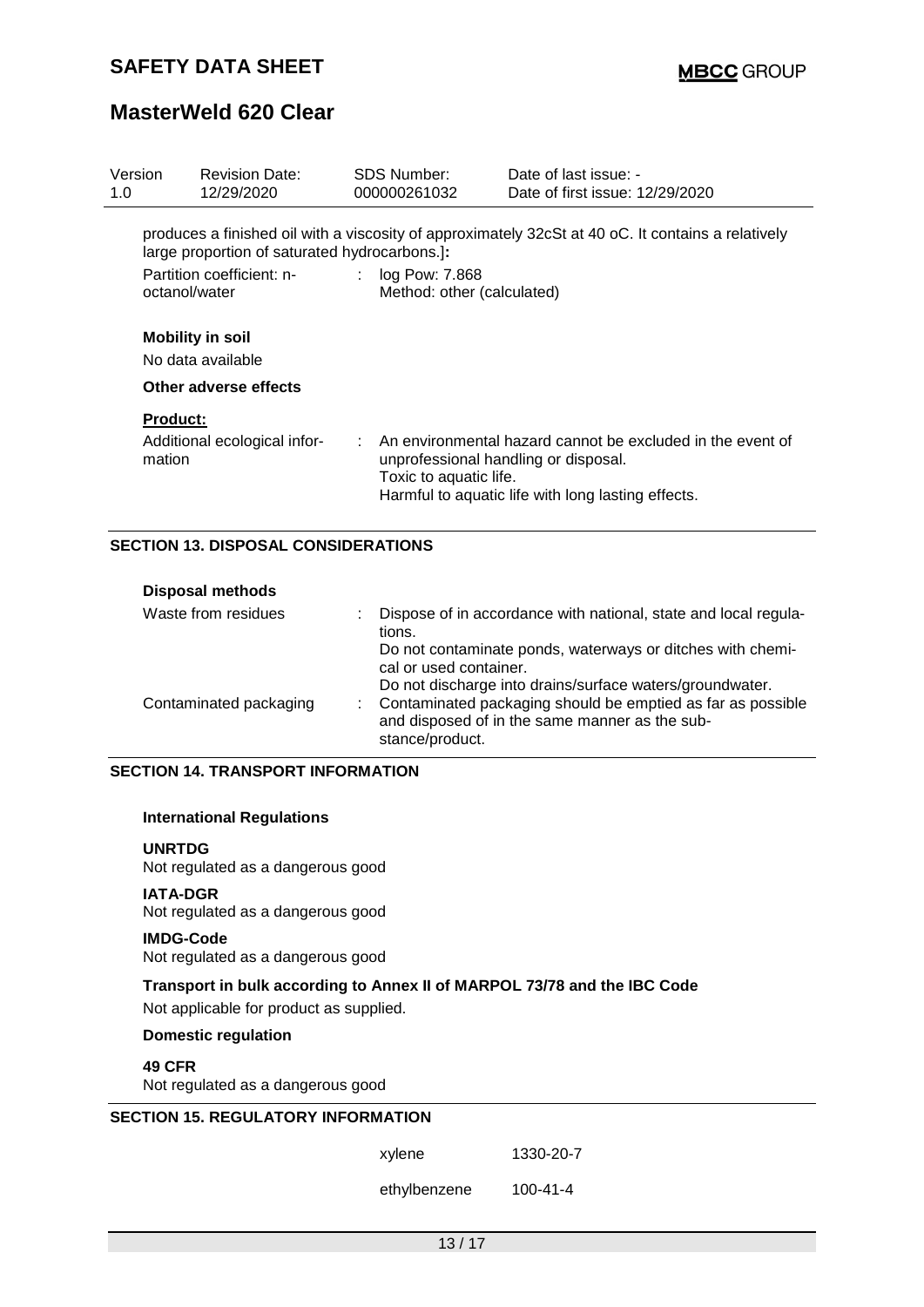| Version<br>1.0  | <b>Revision Date:</b><br>12/29/2020           | SDS Number:<br>000000261032                      | Date of last issue: -<br>Date of first issue: 12/29/2020                                                                                                              |
|-----------------|-----------------------------------------------|--------------------------------------------------|-----------------------------------------------------------------------------------------------------------------------------------------------------------------------|
|                 | large proportion of saturated hydrocarbons.]: |                                                  | produces a finished oil with a viscosity of approximately 32cSt at 40 oC. It contains a relatively                                                                    |
| octanol/water   | Partition coefficient: n-                     | : $log Pow: 7.868$<br>Method: other (calculated) |                                                                                                                                                                       |
|                 | <b>Mobility in soil</b><br>No data available  |                                                  |                                                                                                                                                                       |
|                 | Other adverse effects                         |                                                  |                                                                                                                                                                       |
| <b>Product:</b> |                                               |                                                  |                                                                                                                                                                       |
| mation          | Additional ecological infor-                  | Toxic to aquatic life.                           | $\therefore$ An environmental hazard cannot be excluded in the event of<br>unprofessional handling or disposal.<br>Harmful to aquatic life with long lasting effects. |
|                 | <b>SECTION 13. DISPOSAL CONSIDERATIONS</b>    |                                                  |                                                                                                                                                                       |

| <b>Disposal methods</b> |                                                                                                                                                  |
|-------------------------|--------------------------------------------------------------------------------------------------------------------------------------------------|
| Waste from residues     | Dispose of in accordance with national, state and local regula-<br>tions.                                                                        |
|                         | Do not contaminate ponds, waterways or ditches with chemi-<br>cal or used container.<br>Do not discharge into drains/surface waters/groundwater. |
| Contaminated packaging  | : Contaminated packaging should be emptied as far as possible<br>and disposed of in the same manner as the sub-<br>stance/product.               |

#### **SECTION 14. TRANSPORT INFORMATION**

#### **International Regulations**

#### **UNRTDG**

Not regulated as a dangerous good

#### **IATA-DGR**

Not regulated as a dangerous good

#### **IMDG-Code**

Not regulated as a dangerous good

# **Transport in bulk according to Annex II of MARPOL 73/78 and the IBC Code**

Not applicable for product as supplied.

### **Domestic regulation**

#### **49 CFR**

Not regulated as a dangerous good

### **SECTION 15. REGULATORY INFORMATION**

ethylbenzene 100-41-4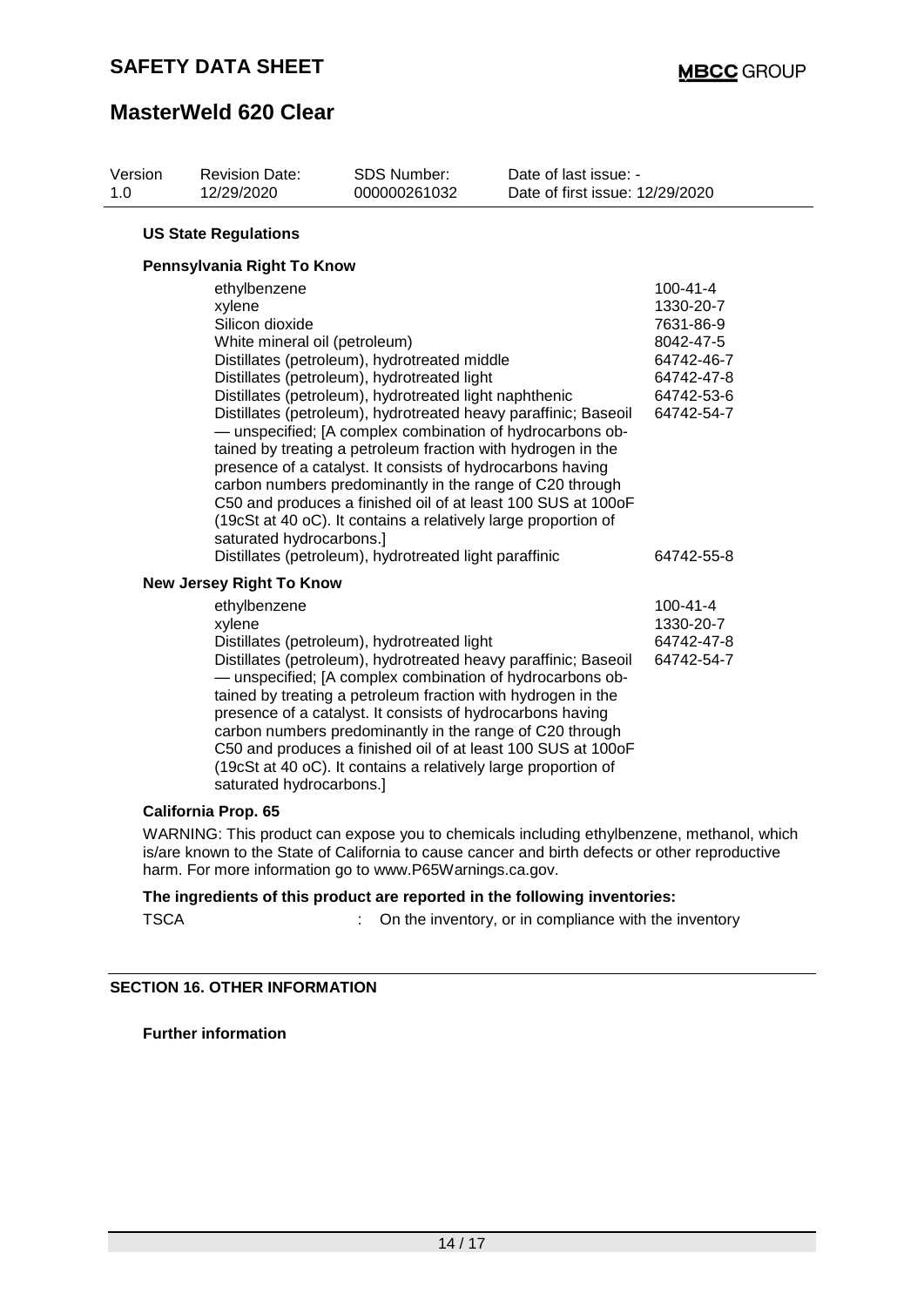| Version<br>1.0              | <b>Revision Date:</b><br>12/29/2020                                                                    | SDS Number:<br>000000261032                                                                                                                                                                                                                                                                                                                                                                                                                                                                                                                                                                                                                                                 | Date of last issue: -<br>Date of first issue: 12/29/2020 |                                                                                                                             |  |  |  |  |  |
|-----------------------------|--------------------------------------------------------------------------------------------------------|-----------------------------------------------------------------------------------------------------------------------------------------------------------------------------------------------------------------------------------------------------------------------------------------------------------------------------------------------------------------------------------------------------------------------------------------------------------------------------------------------------------------------------------------------------------------------------------------------------------------------------------------------------------------------------|----------------------------------------------------------|-----------------------------------------------------------------------------------------------------------------------------|--|--|--|--|--|
| <b>US State Regulations</b> |                                                                                                        |                                                                                                                                                                                                                                                                                                                                                                                                                                                                                                                                                                                                                                                                             |                                                          |                                                                                                                             |  |  |  |  |  |
| Pennsylvania Right To Know  |                                                                                                        |                                                                                                                                                                                                                                                                                                                                                                                                                                                                                                                                                                                                                                                                             |                                                          |                                                                                                                             |  |  |  |  |  |
|                             | ethylbenzene<br>xylene<br>Silicon dioxide<br>White mineral oil (petroleum)<br>saturated hydrocarbons.] | Distillates (petroleum), hydrotreated middle<br>Distillates (petroleum), hydrotreated light<br>Distillates (petroleum), hydrotreated light naphthenic<br>Distillates (petroleum), hydrotreated heavy paraffinic; Baseoil<br>- unspecified; [A complex combination of hydrocarbons ob-<br>tained by treating a petroleum fraction with hydrogen in the<br>presence of a catalyst. It consists of hydrocarbons having<br>carbon numbers predominantly in the range of C20 through<br>C50 and produces a finished oil of at least 100 SUS at 100oF<br>(19cSt at 40 oC). It contains a relatively large proportion of<br>Distillates (petroleum), hydrotreated light paraffinic |                                                          | $100 - 41 - 4$<br>1330-20-7<br>7631-86-9<br>8042-47-5<br>64742-46-7<br>64742-47-8<br>64742-53-6<br>64742-54-7<br>64742-55-8 |  |  |  |  |  |
|                             | <b>New Jersey Right To Know</b>                                                                        |                                                                                                                                                                                                                                                                                                                                                                                                                                                                                                                                                                                                                                                                             |                                                          |                                                                                                                             |  |  |  |  |  |
|                             | ethylbenzene<br>xylene<br>saturated hydrocarbons.]                                                     | Distillates (petroleum), hydrotreated light<br>Distillates (petroleum), hydrotreated heavy paraffinic; Baseoil<br>- unspecified; [A complex combination of hydrocarbons ob-<br>tained by treating a petroleum fraction with hydrogen in the<br>presence of a catalyst. It consists of hydrocarbons having<br>carbon numbers predominantly in the range of C20 through<br>C50 and produces a finished oil of at least 100 SUS at 100oF<br>(19cSt at 40 oC). It contains a relatively large proportion of                                                                                                                                                                     |                                                          | $100 - 41 - 4$<br>1330-20-7<br>64742-47-8<br>64742-54-7                                                                     |  |  |  |  |  |

### **California Prop. 65**

WARNING: This product can expose you to chemicals including ethylbenzene, methanol, which is/are known to the State of California to cause cancer and birth defects or other reproductive harm. For more information go to www.P65Warnings.ca.gov.

#### **The ingredients of this product are reported in the following inventories:**

TSCA : On the inventory, or in compliance with the inventory

#### **SECTION 16. OTHER INFORMATION**

**Further information**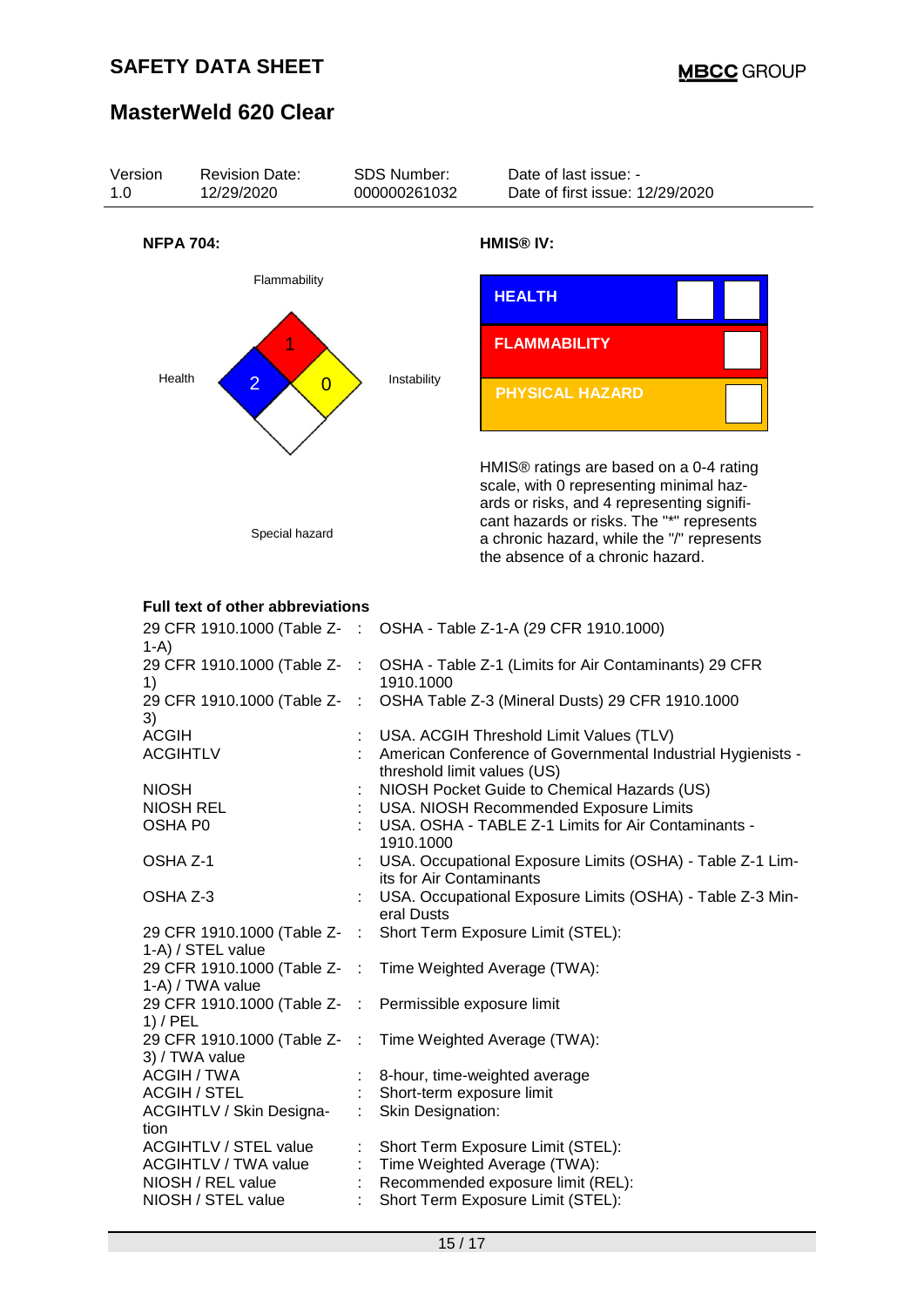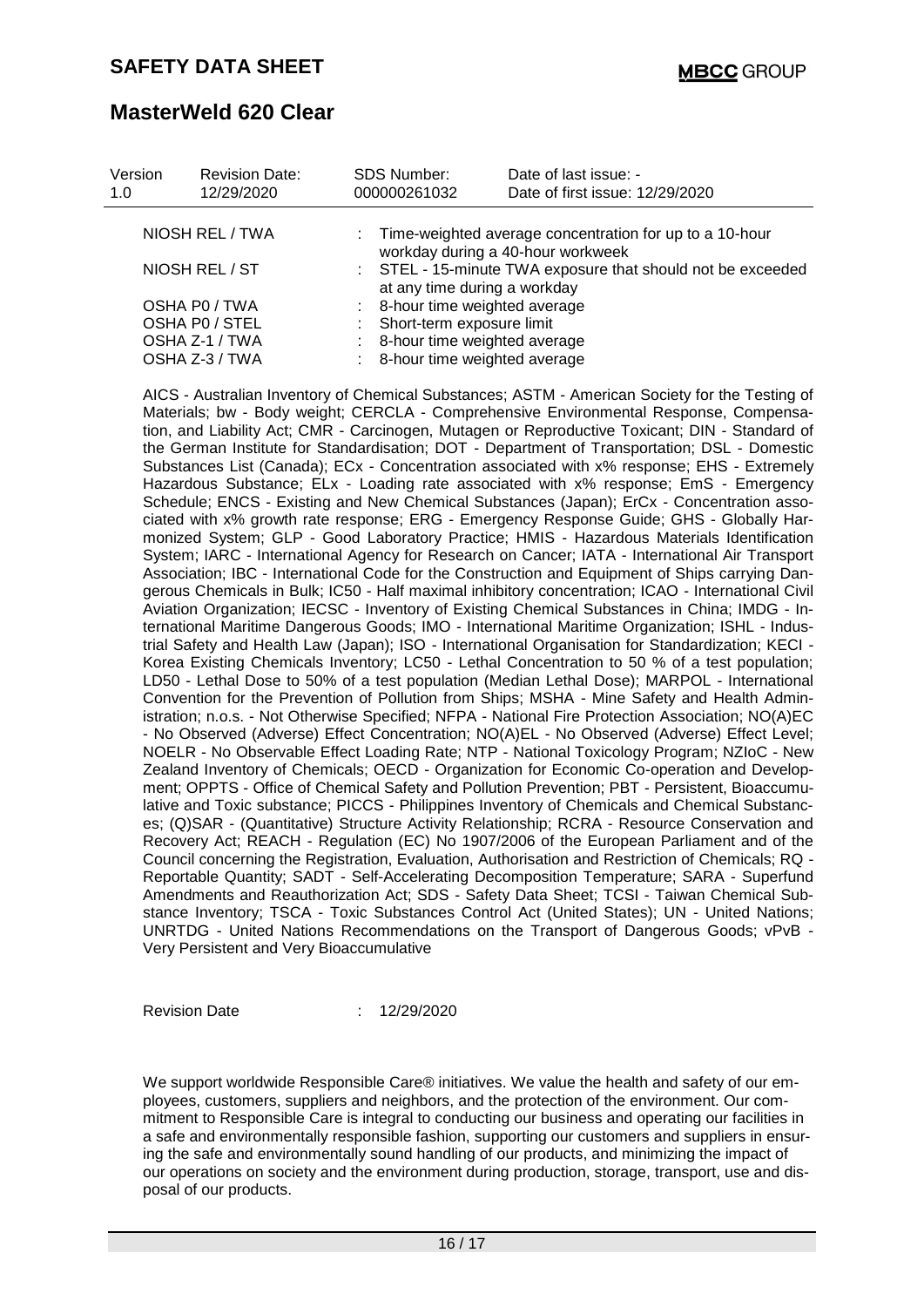| Version<br>1.0 | <b>Revision Date:</b><br>12/29/2020 | <b>SDS Number:</b><br>000000261032 | Date of last issue: -<br>Date of first issue: 12/29/2020                                       |  |
|----------------|-------------------------------------|------------------------------------|------------------------------------------------------------------------------------------------|--|
|                | NIOSH REL / TWA                     |                                    | : Time-weighted average concentration for up to a 10-hour<br>workday during a 40-hour workweek |  |
|                | NIOSH REL / ST                      | at any time during a workday       | : STEL - 15-minute TWA exposure that should not be exceeded                                    |  |
|                | OSHA P0 / TWA                       | : 8-hour time weighted average     |                                                                                                |  |
| OSHA P0 / STEL |                                     | : Short-term exposure limit        |                                                                                                |  |
|                | OSHA Z-1 / TWA                      | 8-hour time weighted average       |                                                                                                |  |
|                | OSHA Z-3 / TWA                      | : 8-hour time weighted average     |                                                                                                |  |

AICS - Australian Inventory of Chemical Substances; ASTM - American Society for the Testing of Materials; bw - Body weight; CERCLA - Comprehensive Environmental Response, Compensation, and Liability Act; CMR - Carcinogen, Mutagen or Reproductive Toxicant; DIN - Standard of the German Institute for Standardisation; DOT - Department of Transportation; DSL - Domestic Substances List (Canada); ECx - Concentration associated with x% response; EHS - Extremely Hazardous Substance; ELx - Loading rate associated with x% response; EmS - Emergency Schedule; ENCS - Existing and New Chemical Substances (Japan); ErCx - Concentration associated with x% growth rate response; ERG - Emergency Response Guide; GHS - Globally Harmonized System; GLP - Good Laboratory Practice; HMIS - Hazardous Materials Identification System; IARC - International Agency for Research on Cancer; IATA - International Air Transport Association; IBC - International Code for the Construction and Equipment of Ships carrying Dangerous Chemicals in Bulk; IC50 - Half maximal inhibitory concentration; ICAO - International Civil Aviation Organization; IECSC - Inventory of Existing Chemical Substances in China; IMDG - International Maritime Dangerous Goods; IMO - International Maritime Organization; ISHL - Industrial Safety and Health Law (Japan); ISO - International Organisation for Standardization; KECI - Korea Existing Chemicals Inventory; LC50 - Lethal Concentration to 50 % of a test population; LD50 - Lethal Dose to 50% of a test population (Median Lethal Dose); MARPOL - International Convention for the Prevention of Pollution from Ships; MSHA - Mine Safety and Health Administration; n.o.s. - Not Otherwise Specified; NFPA - National Fire Protection Association; NO(A)EC - No Observed (Adverse) Effect Concentration; NO(A)EL - No Observed (Adverse) Effect Level; NOELR - No Observable Effect Loading Rate; NTP - National Toxicology Program; NZIoC - New Zealand Inventory of Chemicals; OECD - Organization for Economic Co-operation and Development; OPPTS - Office of Chemical Safety and Pollution Prevention; PBT - Persistent, Bioaccumulative and Toxic substance; PICCS - Philippines Inventory of Chemicals and Chemical Substances; (Q)SAR - (Quantitative) Structure Activity Relationship; RCRA - Resource Conservation and Recovery Act; REACH - Regulation (EC) No 1907/2006 of the European Parliament and of the Council concerning the Registration, Evaluation, Authorisation and Restriction of Chemicals; RQ - Reportable Quantity; SADT - Self-Accelerating Decomposition Temperature; SARA - Superfund Amendments and Reauthorization Act; SDS - Safety Data Sheet; TCSI - Taiwan Chemical Substance Inventory; TSCA - Toxic Substances Control Act (United States); UN - United Nations; UNRTDG - United Nations Recommendations on the Transport of Dangerous Goods; vPvB - Very Persistent and Very Bioaccumulative

Revision Date : 12/29/2020

We support worldwide Responsible Care® initiatives. We value the health and safety of our employees, customers, suppliers and neighbors, and the protection of the environment. Our commitment to Responsible Care is integral to conducting our business and operating our facilities in a safe and environmentally responsible fashion, supporting our customers and suppliers in ensuring the safe and environmentally sound handling of our products, and minimizing the impact of our operations on society and the environment during production, storage, transport, use and disposal of our products.